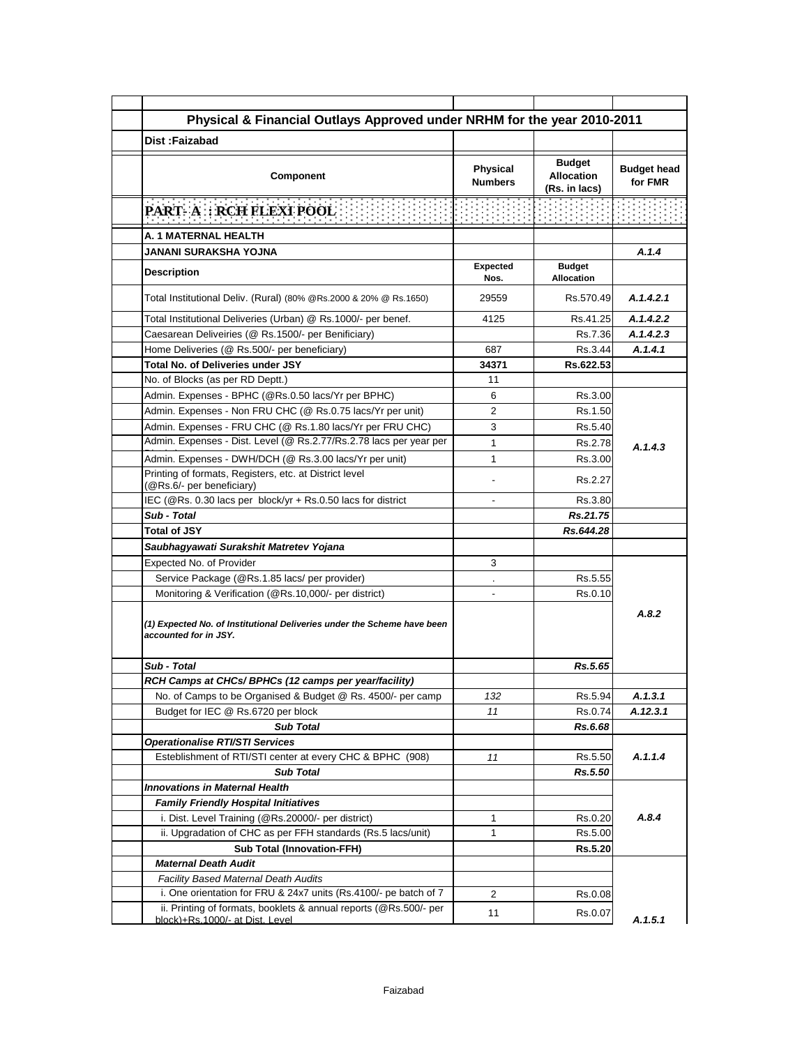| Physical & Financial Outlays Approved under NRHM for the year 2010-2011                                                               |                            |                                                     |                               |
|---------------------------------------------------------------------------------------------------------------------------------------|----------------------------|-----------------------------------------------------|-------------------------------|
| Dist:Faizabad                                                                                                                         |                            |                                                     |                               |
| Component                                                                                                                             | Physical<br><b>Numbers</b> | <b>Budget</b><br><b>Allocation</b><br>(Rs. in lacs) | <b>Budget head</b><br>for FMR |
| <b>PART-A: RCH FLEXI POOL</b>                                                                                                         |                            | <b>在中国中国中国<u>中国中国中国中</u></b>                        |                               |
| A. 1 MATERNAL HEALTH                                                                                                                  |                            |                                                     |                               |
| JANANI SURAKSHA YOJNA                                                                                                                 |                            |                                                     | A.1.4                         |
| <b>Description</b>                                                                                                                    | <b>Expected</b><br>Nos.    | <b>Budget</b><br><b>Allocation</b>                  |                               |
| Total Institutional Deliv. (Rural) (80% @Rs.2000 & 20% @ Rs.1650)                                                                     | 29559                      | Rs.570.49                                           | A.1.4.2.1                     |
| Total Institutional Deliveries (Urban) @ Rs.1000/- per benef.                                                                         | 4125                       | Rs.41.25                                            | A.1.4.2.2                     |
| Caesarean Deliveiries (@ Rs.1500/- per Benificiary)                                                                                   |                            | Rs.7.36                                             | A.1.4.2.3                     |
| Home Deliveries (@ Rs.500/- per beneficiary)                                                                                          | 687                        | Rs.3.44                                             | A.1.4.1                       |
| <b>Total No. of Deliveries under JSY</b>                                                                                              | 34371                      | Rs.622.53                                           |                               |
| No. of Blocks (as per RD Deptt.)                                                                                                      | 11                         |                                                     |                               |
| Admin. Expenses - BPHC (@Rs.0.50 lacs/Yr per BPHC)                                                                                    | 6                          | Rs.3.00                                             |                               |
| Admin. Expenses - Non FRU CHC (@ Rs.0.75 lacs/Yr per unit)                                                                            | 2                          | Rs.1.50                                             |                               |
| Admin. Expenses - FRU CHC (@ Rs.1.80 lacs/Yr per FRU CHC)                                                                             | 3                          | Rs.5.40                                             |                               |
| Admin. Expenses - Dist. Level (@ Rs.2.77/Rs.2.78 lacs per year per                                                                    | 1                          | Rs.2.78                                             | A.1.4.3                       |
| Admin. Expenses - DWH/DCH (@ Rs.3.00 lacs/Yr per unit)                                                                                | 1                          | Rs.3.00                                             |                               |
| Printing of formats, Registers, etc. at District level<br>(@Rs.6/- per beneficiary)                                                   |                            | Rs.2.27                                             |                               |
| IEC (@Rs. 0.30 lacs per block/yr + Rs.0.50 lacs for district                                                                          | $\blacksquare$             | Rs.3.80                                             |                               |
| Sub - Total                                                                                                                           |                            | Rs.21.75                                            |                               |
| <b>Total of JSY</b>                                                                                                                   |                            | Rs.644.28                                           |                               |
| Saubhagyawati Surakshit Matretev Yojana                                                                                               |                            |                                                     |                               |
| Expected No. of Provider                                                                                                              | 3                          |                                                     |                               |
| Service Package (@Rs.1.85 lacs/ per provider)                                                                                         |                            | Rs.5.55                                             |                               |
| Monitoring & Verification (@Rs.10,000/- per district)                                                                                 |                            | Rs.0.10                                             | A.8.2                         |
| (1) Expected No. of Institutional Deliveries under the Scheme have been<br>accounted for in JSY.                                      |                            |                                                     |                               |
| Sub - Total                                                                                                                           |                            | Rs.5.65                                             |                               |
| RCH Camps at CHCs/ BPHCs (12 camps per year/facility)                                                                                 |                            |                                                     |                               |
| No. of Camps to be Organised & Budget @ Rs. 4500/- per camp                                                                           | 132                        | Rs.5.94                                             | A.1.3.1                       |
| Budget for IEC @ Rs.6720 per block                                                                                                    | 11                         | Rs.0.74                                             | A.12.3.1                      |
| <b>Sub Total</b>                                                                                                                      |                            | Rs.6.68                                             |                               |
| <b>Operationalise RTI/STI Services</b>                                                                                                |                            |                                                     |                               |
| Esteblishment of RTI/STI center at every CHC & BPHC (908)                                                                             | 11                         | Rs.5.50                                             | A.1.1.4                       |
| <b>Sub Total</b>                                                                                                                      |                            |                                                     |                               |
|                                                                                                                                       |                            | Rs.5.50                                             |                               |
| <b>Innovations in Maternal Health</b>                                                                                                 |                            |                                                     |                               |
| <b>Family Friendly Hospital Initiatives</b>                                                                                           |                            |                                                     |                               |
| i. Dist. Level Training (@Rs.20000/- per district)                                                                                    | 1                          | Rs.0.20                                             |                               |
| ii. Upgradation of CHC as per FFH standards (Rs.5 lacs/unit)                                                                          | 1                          | Rs.5.00                                             |                               |
| <b>Sub Total (Innovation-FFH)</b>                                                                                                     |                            | Rs.5.20                                             |                               |
| <b>Maternal Death Audit</b>                                                                                                           |                            |                                                     | A.8.4                         |
| Facility Based Maternal Death Audits                                                                                                  |                            |                                                     |                               |
| i. One orientation for FRU & 24x7 units (Rs.4100/- pe batch of 7<br>ii. Printing of formats, booklets & annual reports (@Rs.500/- per | 2                          | Rs.0.08                                             |                               |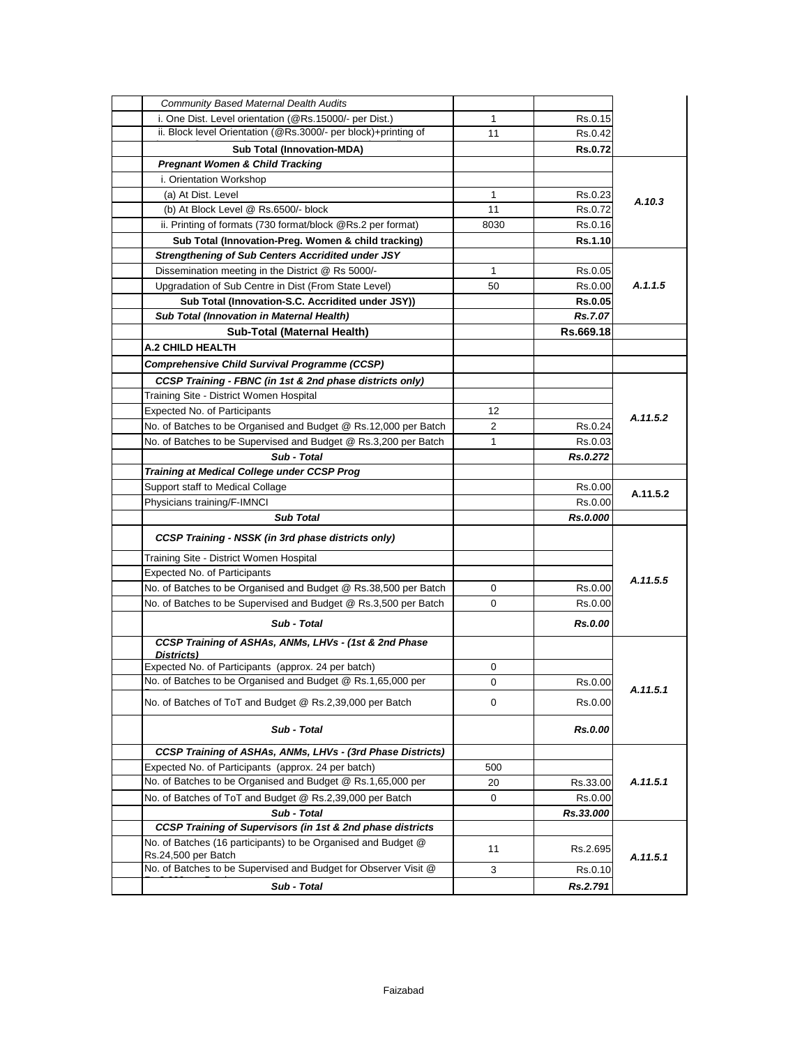| i. One Dist. Level orientation (@Rs.15000/- per Dist.)<br>1<br>Rs.0.15<br>ii. Block level Orientation (@Rs.3000/- per block)+printing of<br>11<br>Rs.0.42<br><b>Sub Total (Innovation-MDA)</b><br><b>Rs.0.72</b><br><b>Pregnant Women &amp; Child Tracking</b><br>i. Orientation Workshop<br>(a) At Dist. Level<br>$\mathbf 1$<br>Rs.0.23<br>A.10.3<br>(b) At Block Level @ Rs.6500/- block<br>11<br>Rs.0.72<br>ii. Printing of formats (730 format/block @Rs.2 per format)<br>8030<br>Rs.0.16<br>Sub Total (Innovation-Preg. Women & child tracking)<br>Rs.1.10<br><b>Strengthening of Sub Centers Accridited under JSY</b><br>Dissemination meeting in the District @ Rs 5000/-<br>Rs.0.05<br>1<br>A.1.1.5<br>Upgradation of Sub Centre in Dist (From State Level)<br>50<br>Rs.0.00<br>Sub Total (Innovation-S.C. Accridited under JSY))<br><b>Rs.0.05</b><br>Sub Total (Innovation in Maternal Health)<br>Rs.7.07<br>Sub-Total (Maternal Health)<br>Rs.669.18<br>A.2 CHILD HEALTH<br>Comprehensive Child Survival Programme (CCSP)<br>CCSP Training - FBNC (in 1st & 2nd phase districts only)<br>Training Site - District Women Hospital<br>Expected No. of Participants<br>12<br>A.11.5.2<br>No. of Batches to be Organised and Budget @ Rs.12,000 per Batch<br>$\overline{2}$<br>Rs.0.24<br>No. of Batches to be Supervised and Budget @ Rs.3,200 per Batch<br>1<br>Rs.0.03<br>Sub - Total<br>Rs.0.272<br><b>Training at Medical College under CCSP Prog</b><br>Support staff to Medical Collage<br>Rs.0.00<br>A.11.5.2<br>Physicians training/F-IMNCI<br>Rs.0.00<br><b>Sub Total</b><br>Rs.0.000<br>CCSP Training - NSSK (in 3rd phase districts only)<br>Training Site - District Women Hospital<br><b>Expected No. of Participants</b><br>A.11.5.5<br>No. of Batches to be Organised and Budget @ Rs.38,500 per Batch<br>0<br>Rs.0.00<br>No. of Batches to be Supervised and Budget @ Rs.3,500 per Batch<br>0<br>Rs.0.00<br>Sub - Total<br>Rs.0.00<br>CCSP Training of ASHAs, ANMs, LHVs - (1st & 2nd Phase<br>Districts)<br>Expected No. of Participants (approx. 24 per batch)<br>0<br>No. of Batches to be Organised and Budget @ Rs.1,65,000 per<br>0<br>Rs.0.00<br>A.11.5.1<br>No. of Batches of ToT and Budget @ Rs.2,39,000 per Batch<br>0<br>Rs.0.00<br>Sub - Total<br>Rs.0.00<br>CCSP Training of ASHAs, ANMs, LHVs - (3rd Phase Districts)<br>Expected No. of Participants (approx. 24 per batch)<br>500<br>No. of Batches to be Organised and Budget @ Rs.1,65,000 per<br>A.11.5.1<br>20<br>Rs.33.00<br>No. of Batches of ToT and Budget @ Rs.2,39,000 per Batch<br>Rs.0.00<br>0<br>Sub - Total<br>Rs.33.000<br>CCSP Training of Supervisors (in 1st & 2nd phase districts<br>No. of Batches (16 participants) to be Organised and Budget @<br>11<br>Rs.2.695<br>Rs.24,500 per Batch<br>A.11.5.1 | <b>Community Based Maternal Dealth Audits</b>                   |  |  |
|----------------------------------------------------------------------------------------------------------------------------------------------------------------------------------------------------------------------------------------------------------------------------------------------------------------------------------------------------------------------------------------------------------------------------------------------------------------------------------------------------------------------------------------------------------------------------------------------------------------------------------------------------------------------------------------------------------------------------------------------------------------------------------------------------------------------------------------------------------------------------------------------------------------------------------------------------------------------------------------------------------------------------------------------------------------------------------------------------------------------------------------------------------------------------------------------------------------------------------------------------------------------------------------------------------------------------------------------------------------------------------------------------------------------------------------------------------------------------------------------------------------------------------------------------------------------------------------------------------------------------------------------------------------------------------------------------------------------------------------------------------------------------------------------------------------------------------------------------------------------------------------------------------------------------------------------------------------------------------------------------------------------------------------------------------------------------------------------------------------------------------------------------------------------------------------------------------------------------------------------------------------------------------------------------------------------------------------------------------------------------------------------------------------------------------------------------------------------------------------------------------------------------------------------------------------------------------------------------------------------------------------------------------------------------------------------------------------------------------------------------------------------------------------------------------------------|-----------------------------------------------------------------|--|--|
|                                                                                                                                                                                                                                                                                                                                                                                                                                                                                                                                                                                                                                                                                                                                                                                                                                                                                                                                                                                                                                                                                                                                                                                                                                                                                                                                                                                                                                                                                                                                                                                                                                                                                                                                                                                                                                                                                                                                                                                                                                                                                                                                                                                                                                                                                                                                                                                                                                                                                                                                                                                                                                                                                                                                                                                                                      |                                                                 |  |  |
|                                                                                                                                                                                                                                                                                                                                                                                                                                                                                                                                                                                                                                                                                                                                                                                                                                                                                                                                                                                                                                                                                                                                                                                                                                                                                                                                                                                                                                                                                                                                                                                                                                                                                                                                                                                                                                                                                                                                                                                                                                                                                                                                                                                                                                                                                                                                                                                                                                                                                                                                                                                                                                                                                                                                                                                                                      |                                                                 |  |  |
|                                                                                                                                                                                                                                                                                                                                                                                                                                                                                                                                                                                                                                                                                                                                                                                                                                                                                                                                                                                                                                                                                                                                                                                                                                                                                                                                                                                                                                                                                                                                                                                                                                                                                                                                                                                                                                                                                                                                                                                                                                                                                                                                                                                                                                                                                                                                                                                                                                                                                                                                                                                                                                                                                                                                                                                                                      |                                                                 |  |  |
|                                                                                                                                                                                                                                                                                                                                                                                                                                                                                                                                                                                                                                                                                                                                                                                                                                                                                                                                                                                                                                                                                                                                                                                                                                                                                                                                                                                                                                                                                                                                                                                                                                                                                                                                                                                                                                                                                                                                                                                                                                                                                                                                                                                                                                                                                                                                                                                                                                                                                                                                                                                                                                                                                                                                                                                                                      |                                                                 |  |  |
|                                                                                                                                                                                                                                                                                                                                                                                                                                                                                                                                                                                                                                                                                                                                                                                                                                                                                                                                                                                                                                                                                                                                                                                                                                                                                                                                                                                                                                                                                                                                                                                                                                                                                                                                                                                                                                                                                                                                                                                                                                                                                                                                                                                                                                                                                                                                                                                                                                                                                                                                                                                                                                                                                                                                                                                                                      |                                                                 |  |  |
|                                                                                                                                                                                                                                                                                                                                                                                                                                                                                                                                                                                                                                                                                                                                                                                                                                                                                                                                                                                                                                                                                                                                                                                                                                                                                                                                                                                                                                                                                                                                                                                                                                                                                                                                                                                                                                                                                                                                                                                                                                                                                                                                                                                                                                                                                                                                                                                                                                                                                                                                                                                                                                                                                                                                                                                                                      |                                                                 |  |  |
|                                                                                                                                                                                                                                                                                                                                                                                                                                                                                                                                                                                                                                                                                                                                                                                                                                                                                                                                                                                                                                                                                                                                                                                                                                                                                                                                                                                                                                                                                                                                                                                                                                                                                                                                                                                                                                                                                                                                                                                                                                                                                                                                                                                                                                                                                                                                                                                                                                                                                                                                                                                                                                                                                                                                                                                                                      |                                                                 |  |  |
|                                                                                                                                                                                                                                                                                                                                                                                                                                                                                                                                                                                                                                                                                                                                                                                                                                                                                                                                                                                                                                                                                                                                                                                                                                                                                                                                                                                                                                                                                                                                                                                                                                                                                                                                                                                                                                                                                                                                                                                                                                                                                                                                                                                                                                                                                                                                                                                                                                                                                                                                                                                                                                                                                                                                                                                                                      |                                                                 |  |  |
|                                                                                                                                                                                                                                                                                                                                                                                                                                                                                                                                                                                                                                                                                                                                                                                                                                                                                                                                                                                                                                                                                                                                                                                                                                                                                                                                                                                                                                                                                                                                                                                                                                                                                                                                                                                                                                                                                                                                                                                                                                                                                                                                                                                                                                                                                                                                                                                                                                                                                                                                                                                                                                                                                                                                                                                                                      |                                                                 |  |  |
|                                                                                                                                                                                                                                                                                                                                                                                                                                                                                                                                                                                                                                                                                                                                                                                                                                                                                                                                                                                                                                                                                                                                                                                                                                                                                                                                                                                                                                                                                                                                                                                                                                                                                                                                                                                                                                                                                                                                                                                                                                                                                                                                                                                                                                                                                                                                                                                                                                                                                                                                                                                                                                                                                                                                                                                                                      |                                                                 |  |  |
|                                                                                                                                                                                                                                                                                                                                                                                                                                                                                                                                                                                                                                                                                                                                                                                                                                                                                                                                                                                                                                                                                                                                                                                                                                                                                                                                                                                                                                                                                                                                                                                                                                                                                                                                                                                                                                                                                                                                                                                                                                                                                                                                                                                                                                                                                                                                                                                                                                                                                                                                                                                                                                                                                                                                                                                                                      |                                                                 |  |  |
|                                                                                                                                                                                                                                                                                                                                                                                                                                                                                                                                                                                                                                                                                                                                                                                                                                                                                                                                                                                                                                                                                                                                                                                                                                                                                                                                                                                                                                                                                                                                                                                                                                                                                                                                                                                                                                                                                                                                                                                                                                                                                                                                                                                                                                                                                                                                                                                                                                                                                                                                                                                                                                                                                                                                                                                                                      |                                                                 |  |  |
|                                                                                                                                                                                                                                                                                                                                                                                                                                                                                                                                                                                                                                                                                                                                                                                                                                                                                                                                                                                                                                                                                                                                                                                                                                                                                                                                                                                                                                                                                                                                                                                                                                                                                                                                                                                                                                                                                                                                                                                                                                                                                                                                                                                                                                                                                                                                                                                                                                                                                                                                                                                                                                                                                                                                                                                                                      |                                                                 |  |  |
|                                                                                                                                                                                                                                                                                                                                                                                                                                                                                                                                                                                                                                                                                                                                                                                                                                                                                                                                                                                                                                                                                                                                                                                                                                                                                                                                                                                                                                                                                                                                                                                                                                                                                                                                                                                                                                                                                                                                                                                                                                                                                                                                                                                                                                                                                                                                                                                                                                                                                                                                                                                                                                                                                                                                                                                                                      |                                                                 |  |  |
|                                                                                                                                                                                                                                                                                                                                                                                                                                                                                                                                                                                                                                                                                                                                                                                                                                                                                                                                                                                                                                                                                                                                                                                                                                                                                                                                                                                                                                                                                                                                                                                                                                                                                                                                                                                                                                                                                                                                                                                                                                                                                                                                                                                                                                                                                                                                                                                                                                                                                                                                                                                                                                                                                                                                                                                                                      |                                                                 |  |  |
|                                                                                                                                                                                                                                                                                                                                                                                                                                                                                                                                                                                                                                                                                                                                                                                                                                                                                                                                                                                                                                                                                                                                                                                                                                                                                                                                                                                                                                                                                                                                                                                                                                                                                                                                                                                                                                                                                                                                                                                                                                                                                                                                                                                                                                                                                                                                                                                                                                                                                                                                                                                                                                                                                                                                                                                                                      |                                                                 |  |  |
|                                                                                                                                                                                                                                                                                                                                                                                                                                                                                                                                                                                                                                                                                                                                                                                                                                                                                                                                                                                                                                                                                                                                                                                                                                                                                                                                                                                                                                                                                                                                                                                                                                                                                                                                                                                                                                                                                                                                                                                                                                                                                                                                                                                                                                                                                                                                                                                                                                                                                                                                                                                                                                                                                                                                                                                                                      |                                                                 |  |  |
|                                                                                                                                                                                                                                                                                                                                                                                                                                                                                                                                                                                                                                                                                                                                                                                                                                                                                                                                                                                                                                                                                                                                                                                                                                                                                                                                                                                                                                                                                                                                                                                                                                                                                                                                                                                                                                                                                                                                                                                                                                                                                                                                                                                                                                                                                                                                                                                                                                                                                                                                                                                                                                                                                                                                                                                                                      |                                                                 |  |  |
|                                                                                                                                                                                                                                                                                                                                                                                                                                                                                                                                                                                                                                                                                                                                                                                                                                                                                                                                                                                                                                                                                                                                                                                                                                                                                                                                                                                                                                                                                                                                                                                                                                                                                                                                                                                                                                                                                                                                                                                                                                                                                                                                                                                                                                                                                                                                                                                                                                                                                                                                                                                                                                                                                                                                                                                                                      |                                                                 |  |  |
|                                                                                                                                                                                                                                                                                                                                                                                                                                                                                                                                                                                                                                                                                                                                                                                                                                                                                                                                                                                                                                                                                                                                                                                                                                                                                                                                                                                                                                                                                                                                                                                                                                                                                                                                                                                                                                                                                                                                                                                                                                                                                                                                                                                                                                                                                                                                                                                                                                                                                                                                                                                                                                                                                                                                                                                                                      |                                                                 |  |  |
|                                                                                                                                                                                                                                                                                                                                                                                                                                                                                                                                                                                                                                                                                                                                                                                                                                                                                                                                                                                                                                                                                                                                                                                                                                                                                                                                                                                                                                                                                                                                                                                                                                                                                                                                                                                                                                                                                                                                                                                                                                                                                                                                                                                                                                                                                                                                                                                                                                                                                                                                                                                                                                                                                                                                                                                                                      |                                                                 |  |  |
|                                                                                                                                                                                                                                                                                                                                                                                                                                                                                                                                                                                                                                                                                                                                                                                                                                                                                                                                                                                                                                                                                                                                                                                                                                                                                                                                                                                                                                                                                                                                                                                                                                                                                                                                                                                                                                                                                                                                                                                                                                                                                                                                                                                                                                                                                                                                                                                                                                                                                                                                                                                                                                                                                                                                                                                                                      |                                                                 |  |  |
|                                                                                                                                                                                                                                                                                                                                                                                                                                                                                                                                                                                                                                                                                                                                                                                                                                                                                                                                                                                                                                                                                                                                                                                                                                                                                                                                                                                                                                                                                                                                                                                                                                                                                                                                                                                                                                                                                                                                                                                                                                                                                                                                                                                                                                                                                                                                                                                                                                                                                                                                                                                                                                                                                                                                                                                                                      |                                                                 |  |  |
|                                                                                                                                                                                                                                                                                                                                                                                                                                                                                                                                                                                                                                                                                                                                                                                                                                                                                                                                                                                                                                                                                                                                                                                                                                                                                                                                                                                                                                                                                                                                                                                                                                                                                                                                                                                                                                                                                                                                                                                                                                                                                                                                                                                                                                                                                                                                                                                                                                                                                                                                                                                                                                                                                                                                                                                                                      |                                                                 |  |  |
|                                                                                                                                                                                                                                                                                                                                                                                                                                                                                                                                                                                                                                                                                                                                                                                                                                                                                                                                                                                                                                                                                                                                                                                                                                                                                                                                                                                                                                                                                                                                                                                                                                                                                                                                                                                                                                                                                                                                                                                                                                                                                                                                                                                                                                                                                                                                                                                                                                                                                                                                                                                                                                                                                                                                                                                                                      |                                                                 |  |  |
|                                                                                                                                                                                                                                                                                                                                                                                                                                                                                                                                                                                                                                                                                                                                                                                                                                                                                                                                                                                                                                                                                                                                                                                                                                                                                                                                                                                                                                                                                                                                                                                                                                                                                                                                                                                                                                                                                                                                                                                                                                                                                                                                                                                                                                                                                                                                                                                                                                                                                                                                                                                                                                                                                                                                                                                                                      |                                                                 |  |  |
|                                                                                                                                                                                                                                                                                                                                                                                                                                                                                                                                                                                                                                                                                                                                                                                                                                                                                                                                                                                                                                                                                                                                                                                                                                                                                                                                                                                                                                                                                                                                                                                                                                                                                                                                                                                                                                                                                                                                                                                                                                                                                                                                                                                                                                                                                                                                                                                                                                                                                                                                                                                                                                                                                                                                                                                                                      |                                                                 |  |  |
|                                                                                                                                                                                                                                                                                                                                                                                                                                                                                                                                                                                                                                                                                                                                                                                                                                                                                                                                                                                                                                                                                                                                                                                                                                                                                                                                                                                                                                                                                                                                                                                                                                                                                                                                                                                                                                                                                                                                                                                                                                                                                                                                                                                                                                                                                                                                                                                                                                                                                                                                                                                                                                                                                                                                                                                                                      |                                                                 |  |  |
|                                                                                                                                                                                                                                                                                                                                                                                                                                                                                                                                                                                                                                                                                                                                                                                                                                                                                                                                                                                                                                                                                                                                                                                                                                                                                                                                                                                                                                                                                                                                                                                                                                                                                                                                                                                                                                                                                                                                                                                                                                                                                                                                                                                                                                                                                                                                                                                                                                                                                                                                                                                                                                                                                                                                                                                                                      |                                                                 |  |  |
|                                                                                                                                                                                                                                                                                                                                                                                                                                                                                                                                                                                                                                                                                                                                                                                                                                                                                                                                                                                                                                                                                                                                                                                                                                                                                                                                                                                                                                                                                                                                                                                                                                                                                                                                                                                                                                                                                                                                                                                                                                                                                                                                                                                                                                                                                                                                                                                                                                                                                                                                                                                                                                                                                                                                                                                                                      |                                                                 |  |  |
|                                                                                                                                                                                                                                                                                                                                                                                                                                                                                                                                                                                                                                                                                                                                                                                                                                                                                                                                                                                                                                                                                                                                                                                                                                                                                                                                                                                                                                                                                                                                                                                                                                                                                                                                                                                                                                                                                                                                                                                                                                                                                                                                                                                                                                                                                                                                                                                                                                                                                                                                                                                                                                                                                                                                                                                                                      |                                                                 |  |  |
|                                                                                                                                                                                                                                                                                                                                                                                                                                                                                                                                                                                                                                                                                                                                                                                                                                                                                                                                                                                                                                                                                                                                                                                                                                                                                                                                                                                                                                                                                                                                                                                                                                                                                                                                                                                                                                                                                                                                                                                                                                                                                                                                                                                                                                                                                                                                                                                                                                                                                                                                                                                                                                                                                                                                                                                                                      |                                                                 |  |  |
|                                                                                                                                                                                                                                                                                                                                                                                                                                                                                                                                                                                                                                                                                                                                                                                                                                                                                                                                                                                                                                                                                                                                                                                                                                                                                                                                                                                                                                                                                                                                                                                                                                                                                                                                                                                                                                                                                                                                                                                                                                                                                                                                                                                                                                                                                                                                                                                                                                                                                                                                                                                                                                                                                                                                                                                                                      |                                                                 |  |  |
|                                                                                                                                                                                                                                                                                                                                                                                                                                                                                                                                                                                                                                                                                                                                                                                                                                                                                                                                                                                                                                                                                                                                                                                                                                                                                                                                                                                                                                                                                                                                                                                                                                                                                                                                                                                                                                                                                                                                                                                                                                                                                                                                                                                                                                                                                                                                                                                                                                                                                                                                                                                                                                                                                                                                                                                                                      |                                                                 |  |  |
|                                                                                                                                                                                                                                                                                                                                                                                                                                                                                                                                                                                                                                                                                                                                                                                                                                                                                                                                                                                                                                                                                                                                                                                                                                                                                                                                                                                                                                                                                                                                                                                                                                                                                                                                                                                                                                                                                                                                                                                                                                                                                                                                                                                                                                                                                                                                                                                                                                                                                                                                                                                                                                                                                                                                                                                                                      |                                                                 |  |  |
|                                                                                                                                                                                                                                                                                                                                                                                                                                                                                                                                                                                                                                                                                                                                                                                                                                                                                                                                                                                                                                                                                                                                                                                                                                                                                                                                                                                                                                                                                                                                                                                                                                                                                                                                                                                                                                                                                                                                                                                                                                                                                                                                                                                                                                                                                                                                                                                                                                                                                                                                                                                                                                                                                                                                                                                                                      |                                                                 |  |  |
|                                                                                                                                                                                                                                                                                                                                                                                                                                                                                                                                                                                                                                                                                                                                                                                                                                                                                                                                                                                                                                                                                                                                                                                                                                                                                                                                                                                                                                                                                                                                                                                                                                                                                                                                                                                                                                                                                                                                                                                                                                                                                                                                                                                                                                                                                                                                                                                                                                                                                                                                                                                                                                                                                                                                                                                                                      |                                                                 |  |  |
|                                                                                                                                                                                                                                                                                                                                                                                                                                                                                                                                                                                                                                                                                                                                                                                                                                                                                                                                                                                                                                                                                                                                                                                                                                                                                                                                                                                                                                                                                                                                                                                                                                                                                                                                                                                                                                                                                                                                                                                                                                                                                                                                                                                                                                                                                                                                                                                                                                                                                                                                                                                                                                                                                                                                                                                                                      |                                                                 |  |  |
|                                                                                                                                                                                                                                                                                                                                                                                                                                                                                                                                                                                                                                                                                                                                                                                                                                                                                                                                                                                                                                                                                                                                                                                                                                                                                                                                                                                                                                                                                                                                                                                                                                                                                                                                                                                                                                                                                                                                                                                                                                                                                                                                                                                                                                                                                                                                                                                                                                                                                                                                                                                                                                                                                                                                                                                                                      |                                                                 |  |  |
|                                                                                                                                                                                                                                                                                                                                                                                                                                                                                                                                                                                                                                                                                                                                                                                                                                                                                                                                                                                                                                                                                                                                                                                                                                                                                                                                                                                                                                                                                                                                                                                                                                                                                                                                                                                                                                                                                                                                                                                                                                                                                                                                                                                                                                                                                                                                                                                                                                                                                                                                                                                                                                                                                                                                                                                                                      |                                                                 |  |  |
|                                                                                                                                                                                                                                                                                                                                                                                                                                                                                                                                                                                                                                                                                                                                                                                                                                                                                                                                                                                                                                                                                                                                                                                                                                                                                                                                                                                                                                                                                                                                                                                                                                                                                                                                                                                                                                                                                                                                                                                                                                                                                                                                                                                                                                                                                                                                                                                                                                                                                                                                                                                                                                                                                                                                                                                                                      |                                                                 |  |  |
|                                                                                                                                                                                                                                                                                                                                                                                                                                                                                                                                                                                                                                                                                                                                                                                                                                                                                                                                                                                                                                                                                                                                                                                                                                                                                                                                                                                                                                                                                                                                                                                                                                                                                                                                                                                                                                                                                                                                                                                                                                                                                                                                                                                                                                                                                                                                                                                                                                                                                                                                                                                                                                                                                                                                                                                                                      |                                                                 |  |  |
|                                                                                                                                                                                                                                                                                                                                                                                                                                                                                                                                                                                                                                                                                                                                                                                                                                                                                                                                                                                                                                                                                                                                                                                                                                                                                                                                                                                                                                                                                                                                                                                                                                                                                                                                                                                                                                                                                                                                                                                                                                                                                                                                                                                                                                                                                                                                                                                                                                                                                                                                                                                                                                                                                                                                                                                                                      |                                                                 |  |  |
|                                                                                                                                                                                                                                                                                                                                                                                                                                                                                                                                                                                                                                                                                                                                                                                                                                                                                                                                                                                                                                                                                                                                                                                                                                                                                                                                                                                                                                                                                                                                                                                                                                                                                                                                                                                                                                                                                                                                                                                                                                                                                                                                                                                                                                                                                                                                                                                                                                                                                                                                                                                                                                                                                                                                                                                                                      |                                                                 |  |  |
|                                                                                                                                                                                                                                                                                                                                                                                                                                                                                                                                                                                                                                                                                                                                                                                                                                                                                                                                                                                                                                                                                                                                                                                                                                                                                                                                                                                                                                                                                                                                                                                                                                                                                                                                                                                                                                                                                                                                                                                                                                                                                                                                                                                                                                                                                                                                                                                                                                                                                                                                                                                                                                                                                                                                                                                                                      |                                                                 |  |  |
|                                                                                                                                                                                                                                                                                                                                                                                                                                                                                                                                                                                                                                                                                                                                                                                                                                                                                                                                                                                                                                                                                                                                                                                                                                                                                                                                                                                                                                                                                                                                                                                                                                                                                                                                                                                                                                                                                                                                                                                                                                                                                                                                                                                                                                                                                                                                                                                                                                                                                                                                                                                                                                                                                                                                                                                                                      |                                                                 |  |  |
|                                                                                                                                                                                                                                                                                                                                                                                                                                                                                                                                                                                                                                                                                                                                                                                                                                                                                                                                                                                                                                                                                                                                                                                                                                                                                                                                                                                                                                                                                                                                                                                                                                                                                                                                                                                                                                                                                                                                                                                                                                                                                                                                                                                                                                                                                                                                                                                                                                                                                                                                                                                                                                                                                                                                                                                                                      |                                                                 |  |  |
|                                                                                                                                                                                                                                                                                                                                                                                                                                                                                                                                                                                                                                                                                                                                                                                                                                                                                                                                                                                                                                                                                                                                                                                                                                                                                                                                                                                                                                                                                                                                                                                                                                                                                                                                                                                                                                                                                                                                                                                                                                                                                                                                                                                                                                                                                                                                                                                                                                                                                                                                                                                                                                                                                                                                                                                                                      |                                                                 |  |  |
| 3<br>Rs.0.10                                                                                                                                                                                                                                                                                                                                                                                                                                                                                                                                                                                                                                                                                                                                                                                                                                                                                                                                                                                                                                                                                                                                                                                                                                                                                                                                                                                                                                                                                                                                                                                                                                                                                                                                                                                                                                                                                                                                                                                                                                                                                                                                                                                                                                                                                                                                                                                                                                                                                                                                                                                                                                                                                                                                                                                                         | No. of Batches to be Supervised and Budget for Observer Visit @ |  |  |
| Sub - Total<br>Rs.2.791                                                                                                                                                                                                                                                                                                                                                                                                                                                                                                                                                                                                                                                                                                                                                                                                                                                                                                                                                                                                                                                                                                                                                                                                                                                                                                                                                                                                                                                                                                                                                                                                                                                                                                                                                                                                                                                                                                                                                                                                                                                                                                                                                                                                                                                                                                                                                                                                                                                                                                                                                                                                                                                                                                                                                                                              |                                                                 |  |  |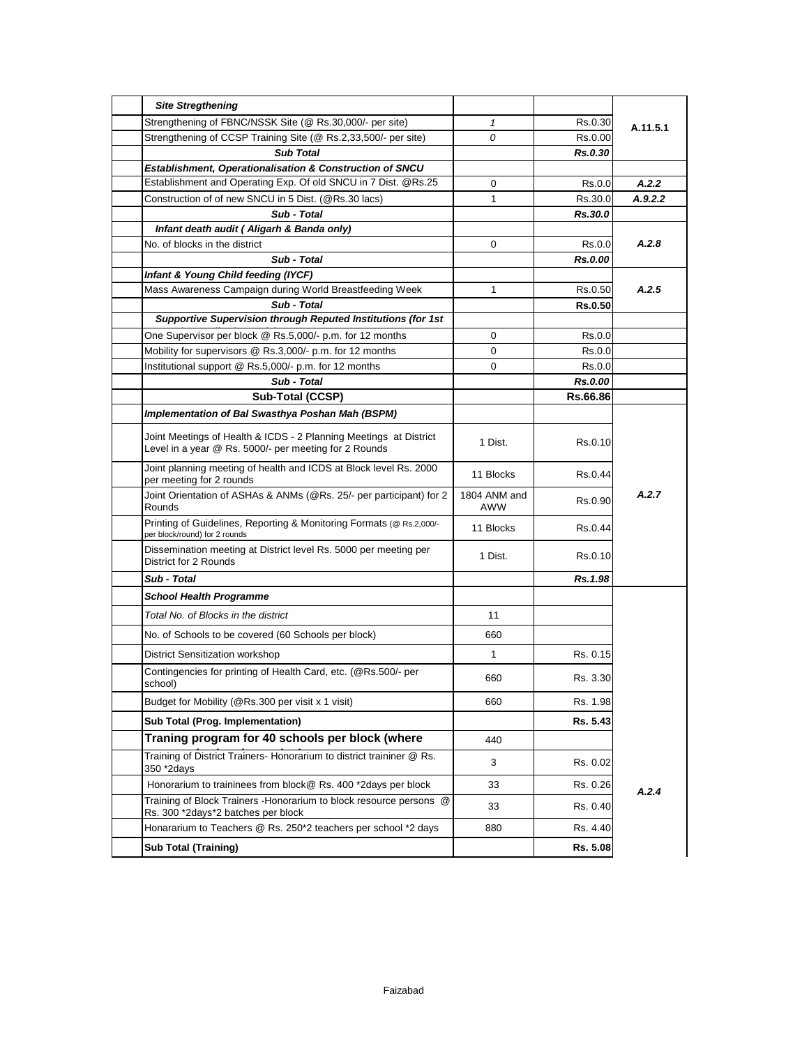| <b>Site Stregthening</b>                                                                                                   |                     |                |          |
|----------------------------------------------------------------------------------------------------------------------------|---------------------|----------------|----------|
| Strengthening of FBNC/NSSK Site (@ Rs.30,000/- per site)                                                                   | $\mathcal I$        | Rs.0.30        | A.11.5.1 |
| Strengthening of CCSP Training Site (@ Rs.2,33,500/- per site)                                                             | 0                   | Rs.0.00        |          |
| <b>Sub Total</b>                                                                                                           |                     | Rs.0.30        |          |
| <b>Establishment, Operationalisation &amp; Construction of SNCU</b>                                                        |                     |                |          |
| Establishment and Operating Exp. Of old SNCU in 7 Dist. @Rs.25                                                             | 0                   | Rs.0.0         | A.2.2    |
| Construction of of new SNCU in 5 Dist. (@Rs.30 lacs)                                                                       | $\mathbf 1$         | Rs.30.0        | A.9.2.2  |
| Sub - Total                                                                                                                |                     | Rs.30.0        |          |
| Infant death audit (Aligarh & Banda only)                                                                                  |                     |                |          |
| No. of blocks in the district                                                                                              | 0                   | Rs.0.0         | A.2.8    |
| Sub - Total                                                                                                                |                     | Rs.0.00        |          |
| Infant & Young Child feeding (IYCF)                                                                                        |                     |                | A.2.5    |
| Mass Awareness Campaign during World Breastfeeding Week                                                                    | $\mathbf{1}$        | Rs.0.50        |          |
| Sub - Total<br>Supportive Supervision through Reputed Institutions (for 1st                                                |                     | <b>Rs.0.50</b> |          |
| One Supervisor per block @ Rs.5,000/- p.m. for 12 months                                                                   | 0                   | Rs.0.0         |          |
| Mobility for supervisors @ Rs.3,000/- p.m. for 12 months                                                                   | 0                   | Rs.0.0         |          |
| Institutional support @ Rs.5,000/- p.m. for 12 months                                                                      | 0                   | Rs.0.0         |          |
| Sub - Total                                                                                                                |                     | Rs.0.00        |          |
| Sub-Total (CCSP)                                                                                                           |                     | Rs.66.86       |          |
| Implementation of Bal Swasthya Poshan Mah (BSPM)                                                                           |                     |                |          |
| Joint Meetings of Health & ICDS - 2 Planning Meetings at District<br>Level in a year @ Rs. 5000/- per meeting for 2 Rounds | 1 Dist.             | Rs.0.10        |          |
| Joint planning meeting of health and ICDS at Block level Rs. 2000<br>per meeting for 2 rounds                              | 11 Blocks           | Rs.0.44        |          |
| Joint Orientation of ASHAs & ANMs (@Rs. 25/- per participant) for 2<br>Rounds                                              | 1804 ANM and<br>AWW | Rs.0.90        | A.2.7    |
| Printing of Guidelines, Reporting & Monitoring Formats (@ Rs.2,000/-<br>per block/round) for 2 rounds                      | 11 Blocks           | Rs.0.44        |          |
| Dissemination meeting at District level Rs. 5000 per meeting per<br>District for 2 Rounds                                  | 1 Dist.             | Rs.0.10        |          |
| Sub - Total                                                                                                                |                     | Rs.1.98        |          |
| <b>School Health Programme</b>                                                                                             |                     |                |          |
| Total No. of Blocks in the district                                                                                        | 11                  |                |          |
| No. of Schools to be covered (60 Schools per block)                                                                        | 660                 |                |          |
| <b>District Sensitization workshop</b>                                                                                     | $\mathbf 1$         | Rs. 0.15       |          |
| Contingencies for printing of Health Card, etc. (@Rs.500/- per<br>school)                                                  | 660                 | Rs. 3.30       |          |
| Budget for Mobility (@Rs.300 per visit x 1 visit)                                                                          | 660                 | Rs. 1.98       |          |
| Sub Total (Prog. Implementation)                                                                                           |                     | Rs. 5.43       |          |
| Traning program for 40 schools per block (where                                                                            | 440                 |                |          |
| Training of District Trainers- Honorarium to district traininer @ Rs.<br>350 *2days                                        | 3                   | Rs. 0.02       |          |
| Honorarium to traininees from block@ Rs. 400 *2days per block                                                              | 33                  | Rs. 0.26       |          |
| Training of Block Trainers - Honorarium to block resource persons @<br>Rs. 300 *2days*2 batches per block                  | 33                  | Rs. 0.40       | A.2.4    |
| Honararium to Teachers @ Rs. 250*2 teachers per school *2 days                                                             | 880                 | Rs. 4.40       |          |
| <b>Sub Total (Training)</b>                                                                                                |                     | Rs. 5.08       |          |
|                                                                                                                            |                     |                |          |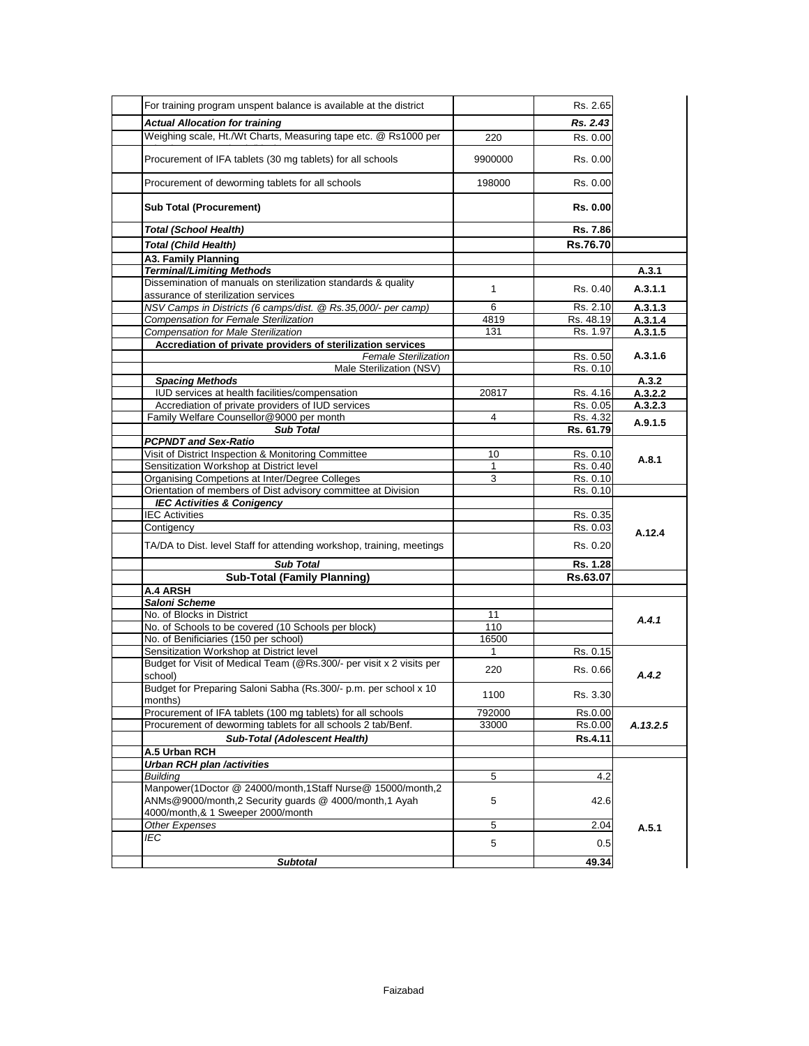| For training program unspent balance is available at the district           |         | Rs. 2.65       |                                     |
|-----------------------------------------------------------------------------|---------|----------------|-------------------------------------|
| <b>Actual Allocation for training</b>                                       |         | Rs. 2.43       |                                     |
| Weighing scale, Ht./Wt Charts, Measuring tape etc. @ Rs1000 per             | 220     | Rs. 0.00       |                                     |
| Procurement of IFA tablets (30 mg tablets) for all schools                  | 9900000 | Rs. 0.00       |                                     |
| Procurement of deworming tablets for all schools                            | 198000  | Rs. 0.00       |                                     |
|                                                                             |         |                |                                     |
| <b>Sub Total (Procurement)</b>                                              |         | Rs. 0.00       |                                     |
| <b>Total (School Health)</b>                                                |         | Rs. 7.86       |                                     |
| <b>Total (Child Health)</b>                                                 |         | Rs.76.70       |                                     |
| <b>A3. Family Planning</b>                                                  |         |                |                                     |
| <b>Terminal/Limiting Methods</b>                                            |         |                | A.3.1                               |
| Dissemination of manuals on sterilization standards & quality               | 1       | Rs. 0.40       | A.3.1.1                             |
| assurance of sterilization services                                         |         |                |                                     |
| NSV Camps in Districts (6 camps/dist. @ Rs.35,000/- per camp)               | 6       | Rs. 2.10       | A.3.1.3                             |
| <b>Compensation for Female Sterilization</b>                                | 4819    | Rs. 48.19      | A.3.1.4                             |
| <b>Compensation for Male Sterilization</b>                                  | 131     | Rs. 1.97       | A.3.1.5                             |
| Accrediation of private providers of sterilization services                 |         |                |                                     |
| <b>Female Sterilization</b>                                                 |         | Rs. 0.50       | A.3.1.6                             |
| Male Sterilization (NSV)                                                    |         | Rs. 0.10       |                                     |
| <b>Spacing Methods</b>                                                      |         |                | A.3.2                               |
| IUD services at health facilities/compensation                              | 20817   | Rs. 4.16       | A.3.2.2                             |
| Accrediation of private providers of IUD services                           |         | Rs. 0.05       | A.3.2.3                             |
| Family Welfare Counsellor@9000 per month                                    | 4       | Rs. 4.32       | A.9.1.5                             |
| <b>Sub Total</b>                                                            |         | Rs. 61.79      |                                     |
| <b>PCPNDT and Sex-Ratio</b>                                                 |         |                |                                     |
| Visit of District Inspection & Monitoring Committee                         | 10      | Rs. 0.10       |                                     |
| Sensitization Workshop at District level                                    |         | Rs. 0.40       | A.8.1                               |
| Organising Competions at Inter/Degree Colleges                              | 3       | Rs. 0.10       |                                     |
| Orientation of members of Dist advisory committee at Division               |         | Rs. 0.10       |                                     |
| <b>IEC Activities &amp; Conigency</b>                                       |         |                |                                     |
| <b>IEC Activities</b>                                                       |         | Rs. 0.35       |                                     |
|                                                                             |         | Rs. 0.03       |                                     |
|                                                                             |         |                | A.12.4                              |
| Contigency                                                                  |         |                |                                     |
| TA/DA to Dist. level Staff for attending workshop, training, meetings       |         | Rs. 0.20       |                                     |
| <b>Sub Total</b>                                                            |         | Rs. 1.28       |                                     |
| <b>Sub-Total (Family Planning)</b>                                          |         | Rs.63.07       |                                     |
| A.4 ARSH                                                                    |         |                |                                     |
| Saloni Scheme                                                               |         |                |                                     |
| No. of Blocks in District                                                   | 11      |                |                                     |
| No. of Schools to be covered (10 Schools per block)                         | 110     |                |                                     |
| No. of Benificiaries (150 per school)                                       | 16500   |                |                                     |
| Sensitization Workshop at District level                                    | 1       | Rs. 0.15       |                                     |
| Budget for Visit of Medical Team (@Rs.300/- per visit x 2 visits per        | 220     | Rs. 0.66       |                                     |
| school)<br>Budget for Preparing Saloni Sabha (Rs.300/- p.m. per school x 10 |         |                |                                     |
| months)                                                                     | 1100    | Rs. 3.30       |                                     |
| Procurement of IFA tablets (100 mg tablets) for all schools                 | 792000  | Rs.0.00        |                                     |
| Procurement of deworming tablets for all schools 2 tab/Benf.                | 33000   | Rs.0.00        |                                     |
| <b>Sub-Total (Adolescent Health)</b>                                        |         | <b>Rs.4.11</b> |                                     |
| A.5 Urban RCH                                                               |         |                |                                     |
| <b>Urban RCH plan /activities</b>                                           |         |                |                                     |
| <b>Building</b>                                                             | 5       | 4.2            |                                     |
|                                                                             |         |                |                                     |
| Manpower(1Doctor @ 24000/month,1Staff Nurse@ 15000/month,2                  | 5       | 42.6           |                                     |
| ANMs@9000/month,2 Security guards @ 4000/month,1 Ayah                       |         |                |                                     |
| 4000/month, & 1 Sweeper 2000/month                                          |         |                |                                     |
| Other Expenses                                                              | 5       | 2.04           |                                     |
| IEC                                                                         | 5       | 0.5            | A.4.1<br>A.4.2<br>A.13.2.5<br>A.5.1 |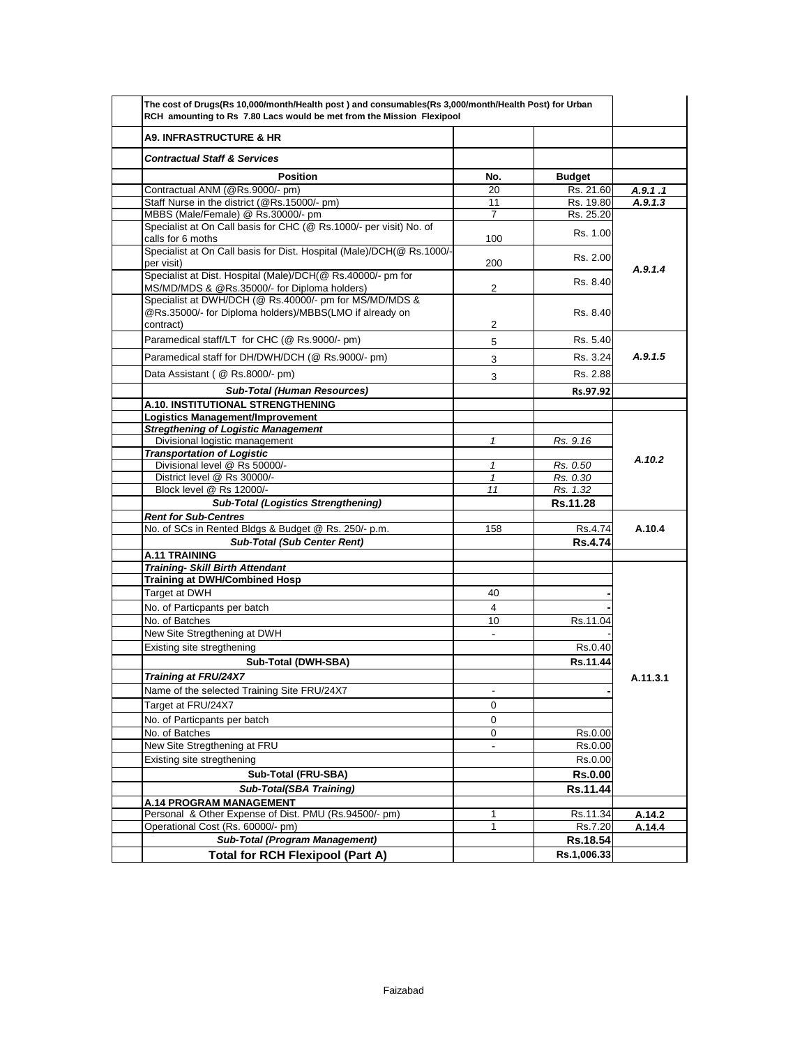| The cost of Drugs(Rs 10,000/month/Health post) and consumables(Rs 3,000/month/Health Post) for Urban<br>RCH amounting to Rs 7.80 Lacs would be met from the Mission Flexipool |                          |                      |          |
|-------------------------------------------------------------------------------------------------------------------------------------------------------------------------------|--------------------------|----------------------|----------|
| <b>A9. INFRASTRUCTURE &amp; HR</b>                                                                                                                                            |                          |                      |          |
| <b>Contractual Staff &amp; Services</b>                                                                                                                                       |                          |                      |          |
| <b>Position</b>                                                                                                                                                               | No.                      | <b>Budget</b>        |          |
| Contractual ANM (@Rs.9000/- pm)                                                                                                                                               | 20                       | Rs. 21.60            | A.9.1.1  |
| Staff Nurse in the district (@Rs.15000/- pm)                                                                                                                                  | 11                       | Rs. 19.80            | A.9.1.3  |
| MBBS (Male/Female) @ Rs.30000/- pm                                                                                                                                            | 7                        | Rs. 25.20            |          |
| Specialist at On Call basis for CHC (@ Rs.1000/- per visit) No. of<br>calls for 6 moths                                                                                       | 100                      | Rs. 1.00             |          |
| Specialist at On Call basis for Dist. Hospital (Male)/DCH(@ Rs.1000/-<br>per visit)                                                                                           | 200                      | Rs. 2.00             | A.9.1.4  |
| Specialist at Dist. Hospital (Male)/DCH(@ Rs.40000/- pm for<br>MS/MD/MDS & @Rs.35000/- for Diploma holders)                                                                   | 2                        | Rs. 8.40             |          |
| Specialist at DWH/DCH (@ Rs.40000/- pm for MS/MD/MDS &<br>@Rs.35000/- for Diploma holders)/MBBS(LMO if already on<br>contract)                                                | 2                        | Rs. 8.40             |          |
|                                                                                                                                                                               |                          |                      |          |
| Paramedical staff/LT for CHC (@ Rs.9000/- pm)                                                                                                                                 | 5                        | Rs. 5.40             |          |
| Paramedical staff for DH/DWH/DCH (@ Rs.9000/- pm)                                                                                                                             | 3                        | Rs. 3.24             | A.9.1.5  |
| Data Assistant (@ Rs.8000/- pm)                                                                                                                                               | 3                        | Rs. 2.88             |          |
| <b>Sub-Total (Human Resources)</b>                                                                                                                                            |                          | Rs.97.92             |          |
| A.10. INSTITUTIONAL STRENGTHENING                                                                                                                                             |                          |                      |          |
| <b>Logistics Management/Improvement</b>                                                                                                                                       |                          |                      |          |
| <b>Stregthening of Logistic Management</b>                                                                                                                                    |                          |                      |          |
| Divisional logistic management                                                                                                                                                | $\mathbf{1}$             | Rs. 9.16             |          |
| <b>Transportation of Logistic</b>                                                                                                                                             |                          |                      | A.10.2   |
| Divisional level @ Rs 50000/-<br>District level @ Rs 30000/-                                                                                                                  | 1                        | Rs. 0.50             |          |
| Block level @ Rs 12000/-                                                                                                                                                      | $\mathbf{1}$<br>11       | Rs. 0.30<br>Rs. 1.32 |          |
| <b>Sub-Total (Logistics Strengthening)</b>                                                                                                                                    |                          | Rs.11.28             |          |
| <b>Rent for Sub-Centres</b>                                                                                                                                                   |                          |                      |          |
| No. of SCs in Rented Bldgs & Budget @ Rs. 250/- p.m.                                                                                                                          | 158                      | Rs.4.74              | A.10.4   |
| <b>Sub-Total (Sub Center Rent)</b>                                                                                                                                            |                          | <b>Rs.4.74</b>       |          |
| A.11 TRAINING                                                                                                                                                                 |                          |                      |          |
| <b>Training- Skill Birth Attendant</b>                                                                                                                                        |                          |                      |          |
| <b>Training at DWH/Combined Hosp</b>                                                                                                                                          |                          |                      |          |
| Target at DWH                                                                                                                                                                 | 40                       |                      |          |
| No. of Particpants per batch                                                                                                                                                  | 4                        |                      |          |
| No. of Batches                                                                                                                                                                | 10                       | Rs.11.04             |          |
| New Site Stregthening at DWH                                                                                                                                                  | $\blacksquare$           |                      |          |
| Existing site stregthening                                                                                                                                                    |                          | Rs.0.40              |          |
| Sub-Total (DWH-SBA)                                                                                                                                                           |                          | Rs.11.44             |          |
|                                                                                                                                                                               |                          |                      |          |
| Training at FRU/24X7                                                                                                                                                          |                          |                      | A.11.3.1 |
| Name of the selected Training Site FRU/24X7                                                                                                                                   | $\overline{\phantom{a}}$ |                      |          |
| Target at FRU/24X7                                                                                                                                                            | 0                        |                      |          |
| No. of Particpants per batch                                                                                                                                                  | 0                        |                      |          |
| No. of Batches                                                                                                                                                                | 0                        | Rs.0.00              |          |
| New Site Stregthening at FRU                                                                                                                                                  | $\overline{\phantom{m}}$ | Rs.0.00              |          |
| Existing site stregthening                                                                                                                                                    |                          | Rs.0.00              |          |
| Sub-Total (FRU-SBA)                                                                                                                                                           |                          | <b>Rs.0.00</b>       |          |
| Sub-Total(SBA Training)                                                                                                                                                       |                          | Rs.11.44             |          |
| <b>A.14 PROGRAM MANAGEMENT</b>                                                                                                                                                |                          |                      |          |
| Personal & Other Expense of Dist. PMU (Rs.94500/- pm)                                                                                                                         | 1                        | Rs.11.34             | A.14.2   |
| Operational Cost (Rs. 60000/- pm)                                                                                                                                             | 1                        | Rs.7.20              | A.14.4   |
| Sub-Total (Program Management)                                                                                                                                                |                          | Rs.18.54             |          |
|                                                                                                                                                                               |                          | Rs.1,006.33          |          |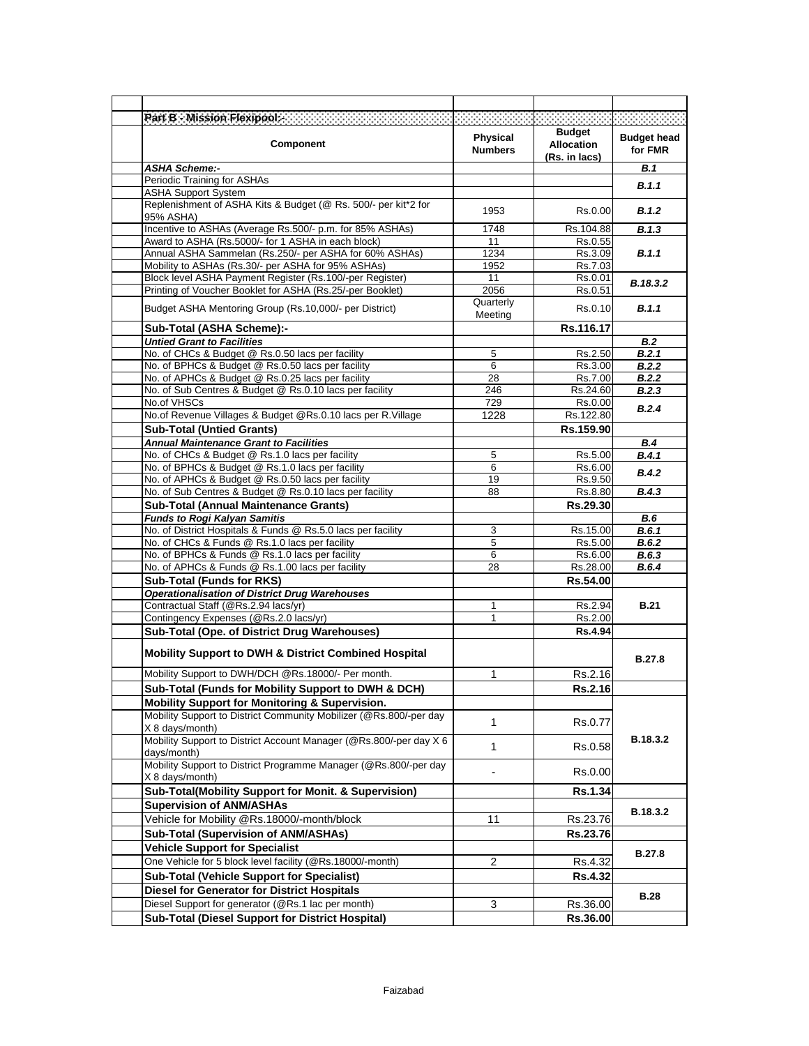| Part B - Mission Flexipool. <b>Example 2014</b>                                                                       |                            | .                                                   |                               |
|-----------------------------------------------------------------------------------------------------------------------|----------------------------|-----------------------------------------------------|-------------------------------|
| <b>Component</b>                                                                                                      | Physical<br><b>Numbers</b> | <b>Budget</b><br><b>Allocation</b><br>(Rs. in lacs) | <b>Budget head</b><br>for FMR |
| <b>ASHA Scheme:-</b>                                                                                                  |                            |                                                     | <b>B.1</b>                    |
| Periodic Training for ASHAs                                                                                           |                            |                                                     | B.1.1                         |
| <b>ASHA Support System</b><br>Replenishment of ASHA Kits & Budget (@ Rs. 500/- per kit*2 for<br>95% ASHA)             | 1953                       | Rs.0.00                                             | B.1.2                         |
| Incentive to ASHAs (Average Rs.500/- p.m. for 85% ASHAs)                                                              | 1748                       | Rs.104.88                                           | B.1.3                         |
| Award to ASHA (Rs.5000/- for 1 ASHA in each block)                                                                    | 11                         | Rs.0.55                                             |                               |
| Annual ASHA Sammelan (Rs.250/- per ASHA for 60% ASHAs)                                                                | 1234                       | Rs.3.09                                             | B.1.1                         |
| Mobility to ASHAs (Rs.30/- per ASHA for 95% ASHAs)                                                                    | 1952                       | Rs.7.03                                             |                               |
| Block level ASHA Payment Register (Rs.100/-per Register)<br>Printing of Voucher Booklet for ASHA (Rs.25/-per Booklet) | 11<br>2056                 | Rs.0.01<br>Rs.0.51                                  | B.18.3.2                      |
| Budget ASHA Mentoring Group (Rs.10,000/- per District)                                                                | Quarterly<br>Meeting       | Rs.0.10                                             | B.1.1                         |
| Sub-Total (ASHA Scheme):-                                                                                             |                            | Rs.116.17                                           |                               |
| <b>Untied Grant to Facilities</b>                                                                                     |                            |                                                     | <b>B.2</b>                    |
| No. of CHCs & Budget @ Rs.0.50 lacs per facility                                                                      | 5                          | Rs.2.50                                             | B.2.1                         |
| No. of BPHCs & Budget @ Rs.0.50 lacs per facility                                                                     | 6                          | Rs.3.00                                             | B.2.2                         |
| No. of APHCs & Budget @ Rs.0.25 lacs per facility<br>No. of Sub Centres & Budget @ Rs.0.10 lacs per facility          | 28                         | Rs.7.00                                             | <b>B.2.2</b>                  |
| No.of VHSCs                                                                                                           | 246<br>729                 | Rs.24.60<br>Rs.0.00                                 | B.2.3                         |
| No.of Revenue Villages & Budget @Rs.0.10 lacs per R.Village                                                           | 1228                       | Rs.122.80                                           | B.2.4                         |
| <b>Sub-Total (Untied Grants)</b>                                                                                      |                            | Rs.159.90                                           |                               |
| <b>Annual Maintenance Grant to Facilities</b>                                                                         |                            |                                                     | B.4                           |
| No. of CHCs & Budget @ Rs.1.0 lacs per facility                                                                       | 5                          | Rs.5.00                                             | B.4.1                         |
| No. of BPHCs & Budget @ Rs.1.0 lacs per facility                                                                      | 6                          | Rs.6.00                                             | B.4.2                         |
| No. of APHCs & Budget @ Rs.0.50 lacs per facility                                                                     | 19                         | Rs.9.50                                             |                               |
| No. of Sub Centres & Budget @ Rs.0.10 lacs per facility                                                               | 88                         | Rs.8.80                                             | B.4.3                         |
| <b>Sub-Total (Annual Maintenance Grants)</b><br><b>Funds to Rogi Kalyan Samitis</b>                                   |                            | Rs.29.30                                            | <b>B.6</b>                    |
| No. of District Hospitals & Funds @ Rs.5.0 lacs per facility                                                          | 3                          | Rs.15.00                                            | B.6.1                         |
| No. of CHCs & Funds @ Rs.1.0 lacs per facility                                                                        | 5                          | Rs.5.00                                             | B.6.2                         |
| No. of BPHCs & Funds @ Rs.1.0 lacs per facility                                                                       | 6                          | Rs.6.00                                             | B.6.3                         |
| No. of APHCs & Funds @ Rs.1.00 lacs per facility                                                                      | 28                         | Rs.28.00                                            | B.6.4                         |
| <b>Sub-Total (Funds for RKS)</b>                                                                                      |                            | Rs.54.00                                            |                               |
| <b>Operationalisation of District Drug Warehouses</b>                                                                 |                            |                                                     |                               |
| Contractual Staff (@Rs.2.94 lacs/yr)<br>Contingency Expenses (@Rs.2.0 lacs/yr)                                        | 1<br>1                     | Rs.2.94<br>Rs.2.00                                  | <b>B.21</b>                   |
| Sub-Total (Ope. of District Drug Warehouses)                                                                          |                            | <b>Rs.4.94</b>                                      |                               |
| <b>Mobility Support to DWH &amp; District Combined Hospital</b>                                                       |                            |                                                     | <b>B.27.8</b>                 |
| Mobility Support to DWH/DCH @Rs.18000/- Per month.                                                                    | 1                          | Rs.2.16                                             |                               |
| Sub-Total (Funds for Mobility Support to DWH & DCH)                                                                   |                            | Rs.2.16                                             |                               |
| <b>Mobility Support for Monitoring &amp; Supervision.</b>                                                             |                            |                                                     |                               |
| Mobility Support to District Community Mobilizer (@Rs.800/-per day<br>X 8 days/month)                                 | 1                          | Rs.0.77                                             |                               |
| Mobility Support to District Account Manager (@Rs.800/-per day X 6<br>days/month)                                     | 1                          | Rs.0.58                                             | B.18.3.2                      |
| Mobility Support to District Programme Manager (@Rs.800/-per day<br>X 8 days/month)                                   |                            | Rs.0.00                                             |                               |
| Sub-Total(Mobility Support for Monit. & Supervision)                                                                  |                            | Rs.1.34                                             |                               |
| <b>Supervision of ANM/ASHAs</b>                                                                                       |                            |                                                     | B.18.3.2                      |
| Vehicle for Mobility @Rs.18000/-month/block                                                                           | 11                         | Rs.23.76                                            |                               |
| Sub-Total (Supervision of ANM/ASHAs)                                                                                  |                            | Rs.23.76                                            |                               |
| <b>Vehicle Support for Specialist</b>                                                                                 |                            |                                                     | <b>B.27.8</b>                 |
| One Vehicle for 5 block level facility (@Rs.18000/-month)                                                             | $\overline{2}$             | Rs.4.32                                             |                               |
| <b>Sub-Total (Vehicle Support for Specialist)</b>                                                                     |                            | Rs.4.32                                             |                               |
| <b>Diesel for Generator for District Hospitals</b>                                                                    |                            |                                                     | <b>B.28</b>                   |
| Diesel Support for generator (@Rs.1 lac per month)                                                                    | 3                          | Rs.36.00                                            |                               |
| <b>Sub-Total (Diesel Support for District Hospital)</b>                                                               |                            | Rs.36.00                                            |                               |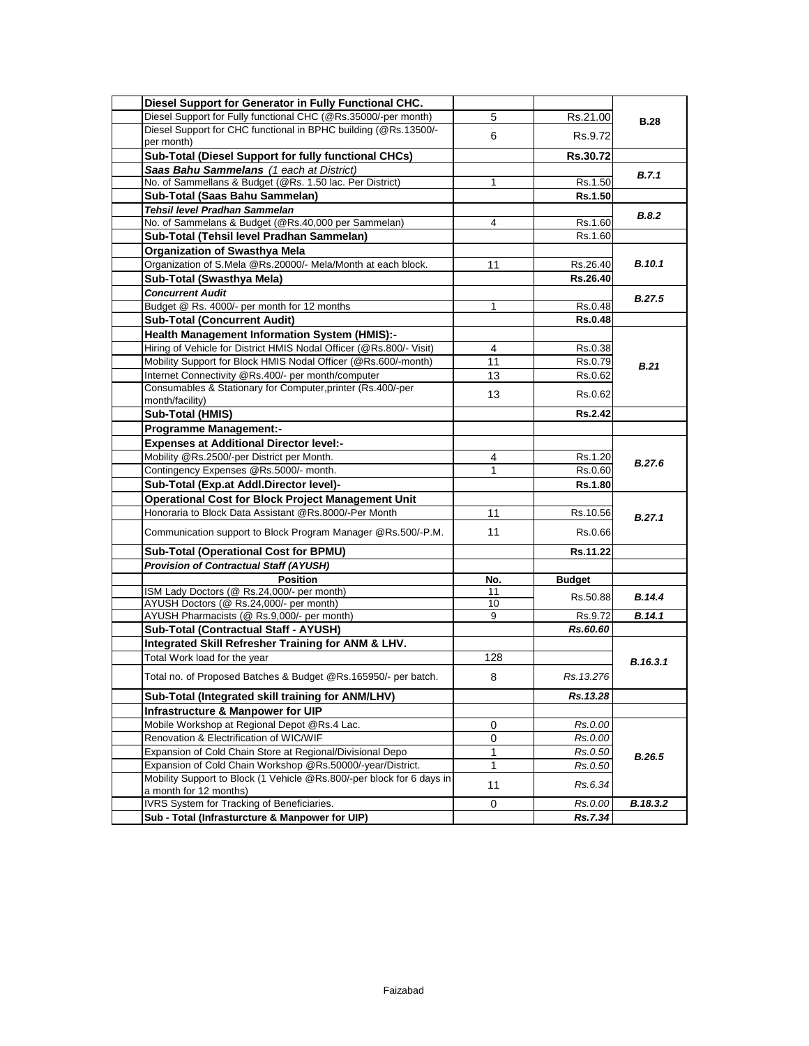| Diesel Support for Generator in Fully Functional CHC.                 |           |                 |               |
|-----------------------------------------------------------------------|-----------|-----------------|---------------|
| Diesel Support for Fully functional CHC (@Rs.35000/-per month)        | 5         | Rs.21.00        | <b>B.28</b>   |
| Diesel Support for CHC functional in BPHC building (@Rs.13500/-       | 6         | Rs.9.72         |               |
| per month)                                                            |           |                 |               |
| Sub-Total (Diesel Support for fully functional CHCs)                  |           | <b>Rs.30.72</b> |               |
| Saas Bahu Sammelans (1 each at District)                              |           |                 | B.7.1         |
| No. of Sammellans & Budget (@Rs. 1.50 lac. Per District)              | 1         | Rs.1.50         |               |
| Sub-Total (Saas Bahu Sammelan)                                        |           | Rs.1.50         |               |
| Tehsil level Pradhan Sammelan                                         |           |                 | B.8.2         |
| No. of Sammelans & Budget (@Rs.40,000 per Sammelan)                   | 4         | Rs.1.60         |               |
| Sub-Total (Tehsil level Pradhan Sammelan)                             |           | Rs.1.60         |               |
| <b>Organization of Swasthya Mela</b>                                  |           |                 |               |
| Organization of S.Mela @Rs.20000/- Mela/Month at each block.          | 11        | Rs.26.40        | <b>B.10.1</b> |
| Sub-Total (Swasthya Mela)                                             |           | Rs.26.40        |               |
| <b>Concurrent Audit</b>                                               |           |                 | <b>B.27.5</b> |
| Budget @ Rs. 4000/- per month for 12 months                           | 1         | Rs.0.48         |               |
| <b>Sub-Total (Concurrent Audit)</b>                                   |           | <b>Rs.0.48</b>  |               |
| <b>Health Management Information System (HMIS):-</b>                  |           |                 |               |
| Hiring of Vehicle for District HMIS Nodal Officer (@Rs.800/- Visit)   | 4         | Rs.0.38         |               |
| Mobility Support for Block HMIS Nodal Officer (@Rs.600/-month)        | 11        | Rs.0.79         | B.21          |
| Internet Connectivity @Rs.400/- per month/computer                    | 13        | Rs.0.62         |               |
| Consumables & Stationary for Computer, printer (Rs.400/-per           | 13        | Rs.0.62         |               |
| month/facility)                                                       |           |                 |               |
| Sub-Total (HMIS)                                                      |           | <b>Rs.2.42</b>  |               |
| <b>Programme Management:-</b>                                         |           |                 |               |
| <b>Expenses at Additional Director level:-</b>                        |           |                 |               |
| Mobility @Rs.2500/-per District per Month.                            | 4         | Rs.1.20         | B.27.6        |
| Contingency Expenses @Rs.5000/- month.                                | 1         | Rs.0.60         |               |
| Sub-Total (Exp.at Addl.Director level)-                               |           | Rs.1.80         |               |
| <b>Operational Cost for Block Project Management Unit</b>             |           |                 |               |
| Honoraria to Block Data Assistant @Rs.8000/-Per Month                 | 11        | Rs.10.56        | B.27.1        |
| Communication support to Block Program Manager @Rs.500/-P.M.          | 11        | Rs.0.66         |               |
|                                                                       |           |                 |               |
| Sub-Total (Operational Cost for BPMU)                                 |           | Rs.11.22        |               |
| <b>Provision of Contractual Staff (AYUSH)</b>                         |           |                 |               |
| <b>Position</b><br>ISM Lady Doctors (@ Rs.24,000/- per month)         | No.<br>11 | <b>Budget</b>   |               |
| AYUSH Doctors (@ Rs.24,000/- per month)                               | 10        | Rs.50.88        | B.14.4        |
| AYUSH Pharmacists (@ Rs.9,000/- per month)                            | 9         | Rs.9.72         | B.14.1        |
| Sub-Total (Contractual Staff - AYUSH)                                 |           | Rs.60.60        |               |
| Integrated Skill Refresher Training for ANM & LHV.                    |           |                 |               |
| Total Work load for the year                                          | 128       |                 |               |
|                                                                       |           |                 | B.16.3.1      |
| Total no. of Proposed Batches & Budget @Rs.165950/- per batch.        | 8         | Rs.13.276       |               |
| Sub-Total (Integrated skill training for ANM/LHV)                     |           | Rs.13.28        |               |
| Infrastructure & Manpower for UIP                                     |           |                 |               |
| Mobile Workshop at Regional Depot @Rs.4 Lac.                          | 0         | Rs.0.00         |               |
| Renovation & Electrification of WIC/WIF                               | 0         | Rs.0.00         |               |
| Expansion of Cold Chain Store at Regional/Divisional Depo             | 1         | Rs.0.50         | B.26.5        |
| Expansion of Cold Chain Workshop @Rs.50000/-year/District.            | 1         | Rs.0.50         |               |
| Mobility Support to Block (1 Vehicle @Rs.800/-per block for 6 days in | 11        | Rs.6.34         |               |
| a month for 12 months)                                                |           |                 |               |
| IVRS System for Tracking of Beneficiaries.                            | 0         | Rs.0.00         | B.18.3.2      |
| Sub - Total (Infrasturcture & Manpower for UIP)                       |           | Rs.7.34         |               |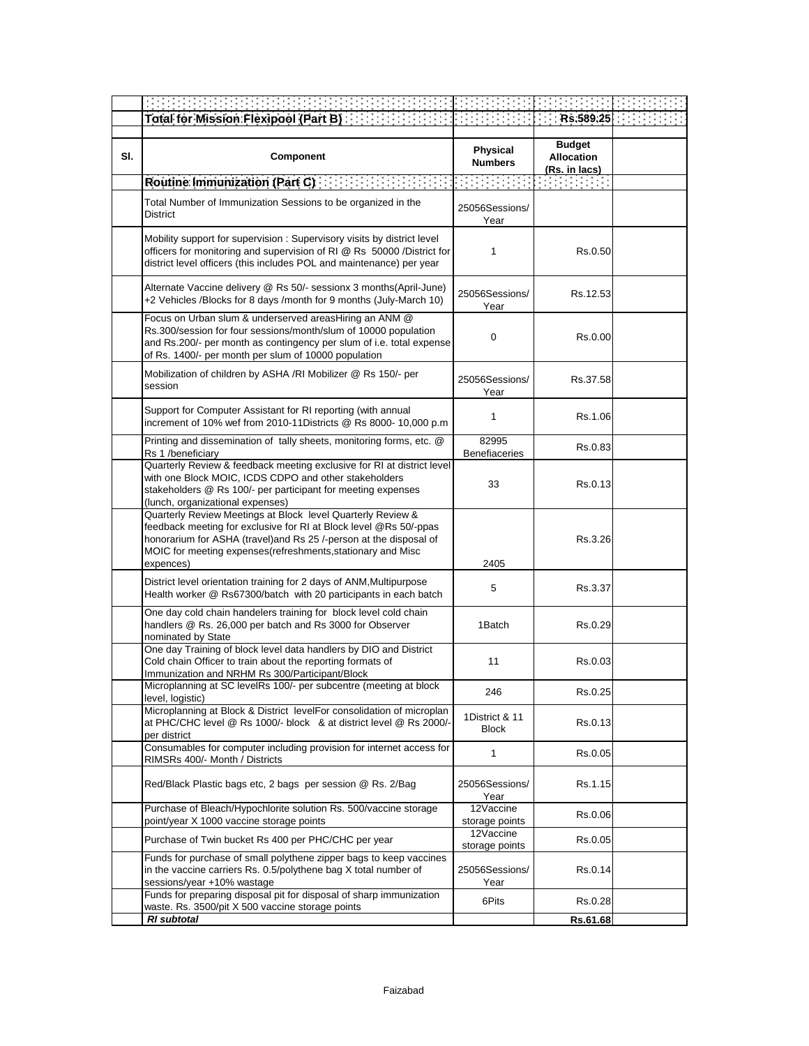|  | Part R) and the contract of the contract of the contract of the contract of the contract of the contract of the |  |
|--|-----------------------------------------------------------------------------------------------------------------|--|

| SI. | Component                                                                                                                                                                                                                                                                         | <b>Physical</b><br><b>Numbers</b>                                                                                                                                                                                                                                                                                                                                                                                                                         | <b>Budget</b><br><b>Allocation</b><br>(Rs. in lacs) |  |
|-----|-----------------------------------------------------------------------------------------------------------------------------------------------------------------------------------------------------------------------------------------------------------------------------------|-----------------------------------------------------------------------------------------------------------------------------------------------------------------------------------------------------------------------------------------------------------------------------------------------------------------------------------------------------------------------------------------------------------------------------------------------------------|-----------------------------------------------------|--|
|     |                                                                                                                                                                                                                                                                                   | $\mathcal{L}^{\mathcal{L}}(\mathcal{L}^{\mathcal{L}}(\mathcal{L}^{\mathcal{L}}(\mathcal{L}^{\mathcal{L}}(\mathcal{L}^{\mathcal{L}}(\mathcal{L}^{\mathcal{L}}(\mathcal{L}^{\mathcal{L}}(\mathcal{L}^{\mathcal{L}}(\mathcal{L}^{\mathcal{L}}(\mathcal{L}^{\mathcal{L}}(\mathcal{L}^{\mathcal{L}}(\mathcal{L}^{\mathcal{L}}(\mathcal{L}^{\mathcal{L}}(\mathcal{L}^{\mathcal{L}}(\mathcal{L}^{\mathcal{L}}(\mathcal{L}^{\mathcal{L}}(\mathcal{L}^{\mathcal{L$ | र स्थान कर                                          |  |
|     | Total Number of Immunization Sessions to be organized in the<br><b>District</b>                                                                                                                                                                                                   | 25056Sessions/<br>Year                                                                                                                                                                                                                                                                                                                                                                                                                                    |                                                     |  |
|     | Mobility support for supervision: Supervisory visits by district level<br>officers for monitoring and supervision of RI @ Rs 50000 /District for<br>district level officers (this includes POL and maintenance) per year                                                          | 1                                                                                                                                                                                                                                                                                                                                                                                                                                                         | Rs.0.50                                             |  |
|     | Alternate Vaccine delivery @ Rs 50/- sessionx 3 months(April-June)<br>+2 Vehicles /Blocks for 8 days /month for 9 months (July-March 10)                                                                                                                                          | 25056Sessions/<br>Year                                                                                                                                                                                                                                                                                                                                                                                                                                    | Rs.12.53                                            |  |
|     | Focus on Urban slum & underserved areasHiring an ANM @<br>Rs.300/session for four sessions/month/slum of 10000 population<br>and Rs.200/- per month as contingency per slum of i.e. total expense<br>of Rs. 1400/- per month per slum of 10000 population                         | 0                                                                                                                                                                                                                                                                                                                                                                                                                                                         | Rs.0.00                                             |  |
|     | Mobilization of children by ASHA /RI Mobilizer @ Rs 150/- per<br>session                                                                                                                                                                                                          | 25056Sessions/<br>Year                                                                                                                                                                                                                                                                                                                                                                                                                                    | Rs.37.58                                            |  |
|     | Support for Computer Assistant for RI reporting (with annual<br>increment of 10% wef from 2010-11Districts @ Rs 8000- 10,000 p.m                                                                                                                                                  | 1                                                                                                                                                                                                                                                                                                                                                                                                                                                         | Rs.1.06                                             |  |
|     | Printing and dissemination of tally sheets, monitoring forms, etc. @<br>Rs 1 /beneficiary                                                                                                                                                                                         | 82995<br><b>Benefiaceries</b>                                                                                                                                                                                                                                                                                                                                                                                                                             | Rs.0.83                                             |  |
|     | Quarterly Review & feedback meeting exclusive for RI at district level<br>with one Block MOIC, ICDS CDPO and other stakeholders<br>stakeholders @ Rs 100/- per participant for meeting expenses<br>(lunch, organizational expenses)                                               | 33                                                                                                                                                                                                                                                                                                                                                                                                                                                        | Rs.0.13                                             |  |
|     | Quarterly Review Meetings at Block level Quarterly Review &<br>feedback meeting for exclusive for RI at Block level @Rs 50/-ppas<br>honorarium for ASHA (travel)and Rs 25 /-person at the disposal of<br>MOIC for meeting expenses(refreshments, stationary and Misc<br>expences) | 2405                                                                                                                                                                                                                                                                                                                                                                                                                                                      | Rs.3.26                                             |  |
|     | District level orientation training for 2 days of ANM, Multipurpose<br>Health worker @ Rs67300/batch with 20 participants in each batch                                                                                                                                           | 5                                                                                                                                                                                                                                                                                                                                                                                                                                                         | Rs.3.37                                             |  |
|     | One day cold chain handelers training for block level cold chain<br>handlers @ Rs. 26,000 per batch and Rs 3000 for Observer<br>nominated by State                                                                                                                                | 1Batch                                                                                                                                                                                                                                                                                                                                                                                                                                                    | Rs.0.29                                             |  |
|     | One day Training of block level data handlers by DIO and District<br>Cold chain Officer to train about the reporting formats of<br>Immunization and NRHM Rs 300/Participant/Block                                                                                                 | 11                                                                                                                                                                                                                                                                                                                                                                                                                                                        | Rs.0.03                                             |  |
|     | Microplanning at SC levelRs 100/- per subcentre (meeting at block<br>level, logistic)                                                                                                                                                                                             | 246                                                                                                                                                                                                                                                                                                                                                                                                                                                       | Rs.0.25                                             |  |
|     | Microplanning at Block & District levelFor consolidation of microplan<br>at PHC/CHC level @ Rs 1000/- block & at district level @ Rs 2000/-<br>per district                                                                                                                       | 1District & 11<br><b>Block</b>                                                                                                                                                                                                                                                                                                                                                                                                                            | Rs.0.13                                             |  |
|     | Consumables for computer including provision for internet access for<br>RIMSRs 400/- Month / Districts                                                                                                                                                                            | 1                                                                                                                                                                                                                                                                                                                                                                                                                                                         | Rs.0.05                                             |  |
|     | Red/Black Plastic bags etc, 2 bags per session @ Rs. 2/Bag                                                                                                                                                                                                                        | 25056Sessions/<br>Year                                                                                                                                                                                                                                                                                                                                                                                                                                    | Rs.1.15                                             |  |
|     | Purchase of Bleach/Hypochlorite solution Rs. 500/vaccine storage<br>point/year X 1000 vaccine storage points                                                                                                                                                                      | 12Vaccine<br>storage points                                                                                                                                                                                                                                                                                                                                                                                                                               | Rs.0.06                                             |  |
|     | Purchase of Twin bucket Rs 400 per PHC/CHC per year                                                                                                                                                                                                                               | 12Vaccine<br>storage points                                                                                                                                                                                                                                                                                                                                                                                                                               | Rs.0.05                                             |  |
|     | Funds for purchase of small polythene zipper bags to keep vaccines<br>in the vaccine carriers Rs. 0.5/polythene bag X total number of<br>sessions/year +10% wastage                                                                                                               | 25056Sessions/<br>Year                                                                                                                                                                                                                                                                                                                                                                                                                                    | Rs.0.14                                             |  |
|     | Funds for preparing disposal pit for disposal of sharp immunization<br>waste. Rs. 3500/pit X 500 vaccine storage points                                                                                                                                                           | 6Pits                                                                                                                                                                                                                                                                                                                                                                                                                                                     | Rs.0.28                                             |  |
|     | RI subtotal                                                                                                                                                                                                                                                                       |                                                                                                                                                                                                                                                                                                                                                                                                                                                           | Rs.61.68                                            |  |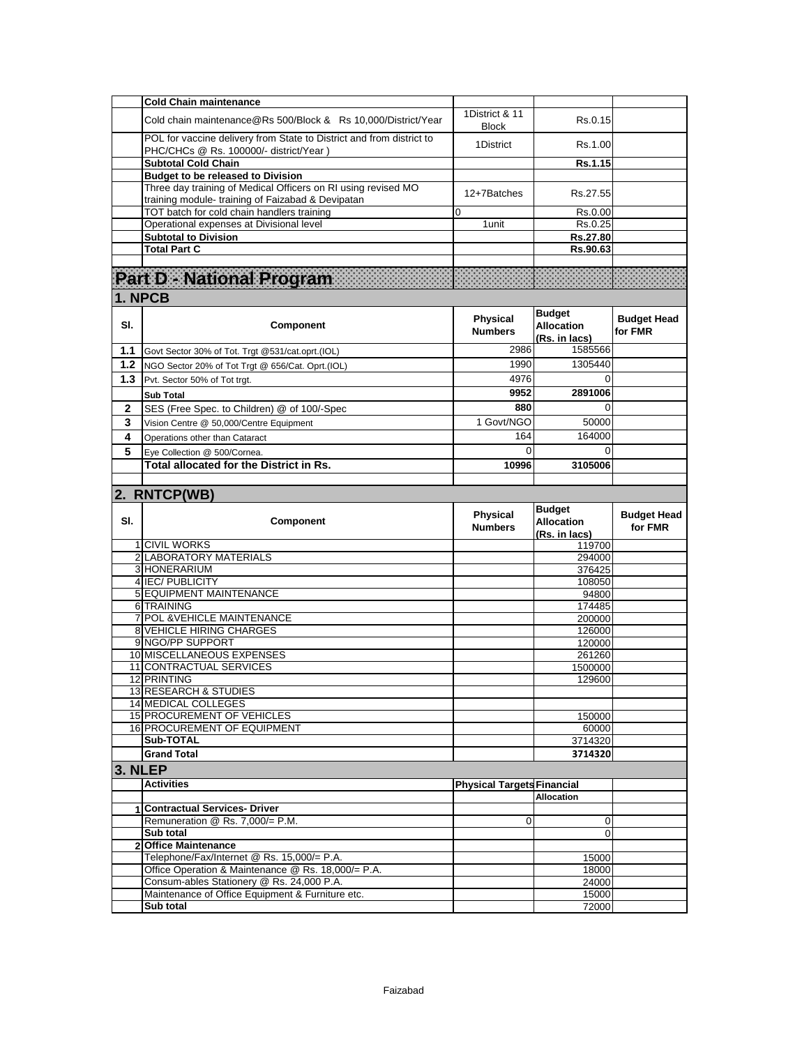|                | <b>Cold Chain maintenance</b>                                                                                      |                                   |                                                     |                               |
|----------------|--------------------------------------------------------------------------------------------------------------------|-----------------------------------|-----------------------------------------------------|-------------------------------|
|                | Cold chain maintenance@Rs 500/Block & Rs 10,000/District/Year                                                      | 1District & 11<br><b>Block</b>    | Rs.0.15                                             |                               |
|                | POL for vaccine delivery from State to District and from district to<br>PHC/CHCs @ Rs. 100000/- district/Year)     | 1District                         | Rs.1.00                                             |                               |
|                | <b>Subtotal Cold Chain</b>                                                                                         |                                   | Rs.1.15                                             |                               |
|                | <b>Budget to be released to Division</b>                                                                           |                                   |                                                     |                               |
|                | Three day training of Medical Officers on RI using revised MO<br>training module- training of Faizabad & Devipatan | 12+7Batches                       | Rs.27.55                                            |                               |
|                | TOT batch for cold chain handlers training                                                                         | 0                                 | Rs.0.00                                             |                               |
|                | Operational expenses at Divisional level                                                                           | 1 unit                            | Rs.0.25                                             |                               |
|                | <b>Subtotal to Division</b>                                                                                        |                                   | Rs.27.80                                            |                               |
|                | <b>Total Part C</b>                                                                                                |                                   | Rs.90.63                                            |                               |
|                | Part D - National Program                                                                                          |                                   |                                                     |                               |
|                | 1. NPCB                                                                                                            |                                   |                                                     |                               |
| SI.            | Component                                                                                                          | <b>Physical</b><br><b>Numbers</b> | <b>Budget</b><br><b>Allocation</b><br>(Rs. in lacs) | <b>Budget Head</b><br>for FMR |
| 1.1            | Govt Sector 30% of Tot. Trgt @531/cat.oprt.(IOL)                                                                   | 2986                              | 1585566                                             |                               |
| 1.2            | NGO Sector 20% of Tot Trgt @ 656/Cat. Oprt.(IOL)                                                                   | 1990                              | 1305440                                             |                               |
| 1.3            | Pvt. Sector 50% of Tot trgt.                                                                                       | 4976                              | $\Omega$                                            |                               |
|                | <b>Sub Total</b>                                                                                                   | 9952                              | 2891006                                             |                               |
| 2              | SES (Free Spec. to Children) @ of 100/-Spec                                                                        | 880                               | 0                                                   |                               |
| 3              |                                                                                                                    | 1 Govt/NGO                        | 50000                                               |                               |
|                | Vision Centre @ 50,000/Centre Equipment                                                                            |                                   |                                                     |                               |
| 4              | Operations other than Cataract                                                                                     | 164                               | 164000                                              |                               |
| 5              | Eve Collection @ 500/Cornea.                                                                                       | 0                                 | $\Omega$                                            |                               |
|                | Total allocated for the District in Rs.                                                                            | 10996                             | 3105006                                             |                               |
|                |                                                                                                                    |                                   |                                                     |                               |
|                | 2. RNTCP(WB)                                                                                                       |                                   |                                                     |                               |
|                |                                                                                                                    |                                   |                                                     |                               |
| SI.            | Component                                                                                                          | <b>Physical</b><br><b>Numbers</b> | <b>Budget</b><br><b>Allocation</b>                  | <b>Budget Head</b><br>for FMR |
|                | 1 CIVIL WORKS                                                                                                      |                                   | (Rs. in lacs)<br>119700                             |                               |
|                | 2 LABORATORY MATERIALS                                                                                             |                                   | 294000                                              |                               |
|                | 3 HONERARIUM                                                                                                       |                                   | 376425                                              |                               |
|                | 4 IEC/ PUBLICITY                                                                                                   |                                   | 108050                                              |                               |
|                | 5 EQUIPMENT MAINTENANCE                                                                                            |                                   | 94800                                               |                               |
|                | 6 TRAINING                                                                                                         |                                   | 174485                                              |                               |
| $\overline{7}$ | POL & VEHICLE MAINTENANCE                                                                                          |                                   | 200000                                              |                               |
|                | <b>8 VEHICLE HIRING CHARGES</b>                                                                                    |                                   | 126000                                              |                               |
|                | 9 NGO/PP SUPPORT                                                                                                   |                                   | 120000                                              |                               |
|                | 10 MISCELLANEOUS EXPENSES                                                                                          |                                   | 261260                                              |                               |
|                | 11 CONTRACTUAL SERVICES                                                                                            |                                   | 1500000                                             |                               |
|                | 12 PRINTING                                                                                                        |                                   | 129600                                              |                               |
|                | 13 RESEARCH & STUDIES                                                                                              |                                   |                                                     |                               |
|                | <b>14 MEDICAL COLLEGES</b>                                                                                         |                                   |                                                     |                               |
|                | 15 PROCUREMENT OF VEHICLES                                                                                         |                                   | 150000                                              |                               |
|                | <b>16 PROCUREMENT OF EQUIPMENT</b><br>Sub-TOTAL                                                                    |                                   | 60000<br>3714320                                    |                               |
|                | <b>Grand Total</b>                                                                                                 |                                   |                                                     |                               |
|                |                                                                                                                    |                                   | 3714320                                             |                               |
| 3. NLEP        |                                                                                                                    |                                   |                                                     |                               |
|                | <b>Activities</b>                                                                                                  | <b>Physical Targets Financial</b> |                                                     |                               |
|                |                                                                                                                    |                                   | <b>Allocation</b>                                   |                               |
| 1              | <b>Contractual Services- Driver</b>                                                                                |                                   |                                                     |                               |
|                | Remuneration @ Rs. 7,000/= P.M.                                                                                    | $\overline{0}$                    | 0                                                   |                               |
|                | Sub total                                                                                                          |                                   | $\Omega$                                            |                               |
| $\overline{2}$ | <b>Office Maintenance</b>                                                                                          |                                   |                                                     |                               |
|                | Telephone/Fax/Internet @ Rs. 15,000/= P.A.                                                                         |                                   | 15000                                               |                               |
|                | Office Operation & Maintenance @ Rs. 18,000/= P.A.<br>Consum-ables Stationery @ Rs. 24,000 P.A.                    |                                   | 18000<br>24000                                      |                               |
|                | Maintenance of Office Equipment & Furniture etc.                                                                   |                                   | 15000                                               |                               |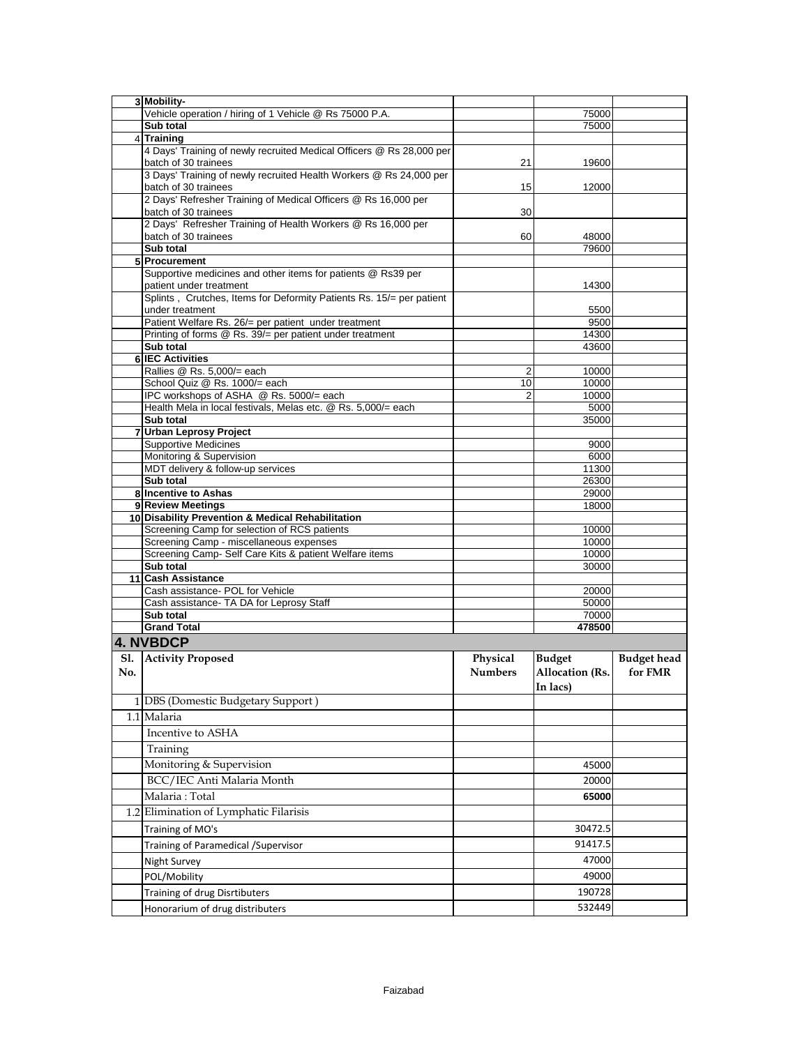|     | 3 Mobility-                                                                                              |                      |                        |                    |
|-----|----------------------------------------------------------------------------------------------------------|----------------------|------------------------|--------------------|
|     | Vehicle operation / hiring of 1 Vehicle @ Rs 75000 P.A.                                                  |                      | 75000                  |                    |
|     | Sub total                                                                                                |                      | 75000                  |                    |
|     | 4 Training                                                                                               |                      |                        |                    |
|     | 4 Days' Training of newly recruited Medical Officers @ Rs 28,000 per                                     |                      |                        |                    |
|     | batch of 30 trainees                                                                                     | 21                   | 19600                  |                    |
|     | 3 Days' Training of newly recruited Health Workers @ Rs 24,000 per                                       |                      |                        |                    |
|     | batch of 30 trainees                                                                                     | 15                   | 12000                  |                    |
|     | 2 Days' Refresher Training of Medical Officers @ Rs 16,000 per                                           |                      |                        |                    |
|     | batch of 30 trainees<br>2 Days' Refresher Training of Health Workers @ Rs 16,000 per                     | 30                   |                        |                    |
|     | batch of 30 trainees                                                                                     | 60                   | 48000                  |                    |
|     | Sub total                                                                                                |                      | 79600                  |                    |
|     | 5 Procurement                                                                                            |                      |                        |                    |
|     | Supportive medicines and other items for patients @ Rs39 per                                             |                      |                        |                    |
|     | patient under treatment                                                                                  |                      | 14300                  |                    |
|     | Splints, Crutches, Items for Deformity Patients Rs. 15/= per patient                                     |                      |                        |                    |
|     | under treatment                                                                                          |                      | 5500                   |                    |
|     | Patient Welfare Rs. 26/= per patient under treatment                                                     |                      | 9500                   |                    |
|     | Printing of forms @ Rs. 39/= per patient under treatment                                                 |                      | 14300                  |                    |
|     | Sub total                                                                                                |                      | 43600                  |                    |
|     | <b>6 IEC Activities</b>                                                                                  |                      |                        |                    |
|     | Rallies @ Rs. 5,000/= each                                                                               | 2                    | 10000                  |                    |
|     | School Quiz @ Rs. 1000/= each                                                                            | 10<br>$\overline{2}$ | 10000<br>10000         |                    |
|     | IPC workshops of ASHA @ Rs. 5000/= each<br>Health Mela in local festivals, Melas etc. @ Rs. 5,000/= each |                      | 5000                   |                    |
|     | Sub total                                                                                                |                      | 35000                  |                    |
|     | 7 Urban Leprosy Project                                                                                  |                      |                        |                    |
|     | <b>Supportive Medicines</b>                                                                              |                      | 9000                   |                    |
|     | Monitoring & Supervision                                                                                 |                      | 6000                   |                    |
|     | MDT delivery & follow-up services                                                                        |                      | 11300                  |                    |
|     | Sub total                                                                                                |                      | 26300                  |                    |
|     | 8 Incentive to Ashas                                                                                     |                      | 29000                  |                    |
|     | 9 Review Meetings                                                                                        |                      | 18000                  |                    |
|     | 10 Disability Prevention & Medical Rehabilitation                                                        |                      |                        |                    |
|     | Screening Camp for selection of RCS patients                                                             |                      | 10000                  |                    |
|     | Screening Camp - miscellaneous expenses                                                                  |                      | 10000                  |                    |
|     | Screening Camp- Self Care Kits & patient Welfare items                                                   |                      | 10000                  |                    |
|     |                                                                                                          |                      |                        |                    |
|     | Sub total                                                                                                |                      | 30000                  |                    |
|     | 11 Cash Assistance                                                                                       |                      |                        |                    |
|     | Cash assistance- POL for Vehicle                                                                         |                      | 20000                  |                    |
|     | Cash assistance- TA DA for Leprosy Staff                                                                 |                      | 50000                  |                    |
|     | Sub total                                                                                                |                      | 70000<br>478500        |                    |
|     | <b>Grand Total</b>                                                                                       |                      |                        |                    |
|     | 4. NVBDCP                                                                                                |                      |                        |                    |
| Sl. | <b>Activity Proposed</b>                                                                                 | Physical             | <b>Budget</b>          | <b>Budget head</b> |
| No. |                                                                                                          | <b>Numbers</b>       | <b>Allocation (Rs.</b> | for FMR            |
|     |                                                                                                          |                      | In lacs)               |                    |
|     | 1 DBS (Domestic Budgetary Support)                                                                       |                      |                        |                    |
|     | 1.1 Malaria                                                                                              |                      |                        |                    |
|     |                                                                                                          |                      |                        |                    |
|     | Incentive to ASHA                                                                                        |                      |                        |                    |
|     | Training                                                                                                 |                      |                        |                    |
|     | Monitoring & Supervision                                                                                 |                      | 45000                  |                    |
|     | BCC/IEC Anti Malaria Month                                                                               |                      | 20000                  |                    |
|     | Malaria: Total                                                                                           |                      | 65000                  |                    |
|     |                                                                                                          |                      |                        |                    |
|     | 1.2 Elimination of Lymphatic Filarisis                                                                   |                      |                        |                    |
|     | Training of MO's                                                                                         |                      | 30472.5                |                    |
|     | Training of Paramedical / Supervisor                                                                     |                      | 91417.5                |                    |
|     | Night Survey                                                                                             |                      | 47000                  |                    |
|     | POL/Mobility                                                                                             |                      | 49000                  |                    |
|     |                                                                                                          |                      | 190728                 |                    |
|     | Training of drug Disrtibuters<br>Honorarium of drug distributers                                         |                      | 532449                 |                    |